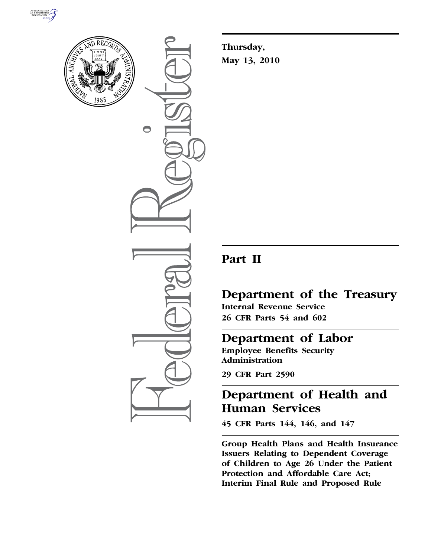



 $\bigcirc$ 

**Thursday, May 13, 2010** 

# **Part II**

# **Department of the Treasury**

**Internal Revenue Service 26 CFR Parts 54 and 602** 

# **Department of Labor**

**Employee Benefits Security Administration** 

**29 CFR Part 2590** 

# **Department of Health and Human Services**

**45 CFR Parts 144, 146, and 147** 

**Group Health Plans and Health Insurance Issuers Relating to Dependent Coverage of Children to Age 26 Under the Patient Protection and Affordable Care Act; Interim Final Rule and Proposed Rule**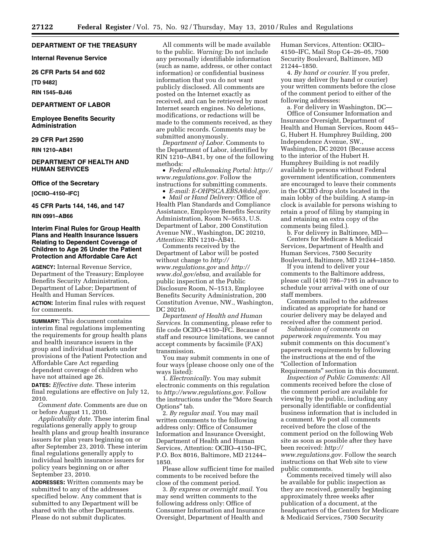## **DEPARTMENT OF THE TREASURY**

**Internal Revenue Service** 

**26 CFR Parts 54 and 602** 

**[TD 9482]** 

**RIN 1545–BJ46** 

# **DEPARTMENT OF LABOR**

**Employee Benefits Security Administration** 

# **29 CFR Part 2590**

**RIN 1210–AB41** 

# **DEPARTMENT OF HEALTH AND HUMAN SERVICES**

#### **Office of the Secretary**

**[OCIIO–4150–IFC]** 

**45 CFR Parts 144, 146, and 147** 

**RIN 0991–AB66** 

# **Interim Final Rules for Group Health Plans and Health Insurance Issuers Relating to Dependent Coverage of Children to Age 26 Under the Patient Protection and Affordable Care Act**

**AGENCY:** Internal Revenue Service, Department of the Treasury; Employee Benefits Security Administration, Department of Labor; Department of Health and Human Services. **ACTION:** Interim final rules with request for comments.

**SUMMARY:** This document contains interim final regulations implementing the requirements for group health plans and health insurance issuers in the group and individual markets under provisions of the Patient Protection and Affordable Care Act regarding dependent coverage of children who have not attained age 26.

**DATES:** *Effective date.* These interim final regulations are effective on July 12, 2010.

*Comment date.* Comments are due on or before August 11, 2010.

*Applicability date.* These interim final regulations generally apply to group health plans and group health insurance issuers for plan years beginning on or after September 23, 2010. These interim final regulations generally apply to individual health insurance issuers for policy years beginning on or after September 23, 2010.

**ADDRESSES:** Written comments may be submitted to any of the addresses specified below. Any comment that is submitted to any Department will be shared with the other Departments. Please do not submit duplicates.

All comments will be made available to the public. *Warning:* Do not include any personally identifiable information (such as name, address, or other contact information) or confidential business information that you do not want publicly disclosed. All comments are posted on the Internet exactly as received, and can be retrieved by most Internet search engines. No deletions, modifications, or redactions will be made to the comments received, as they are public records. Comments may be submitted anonymously.

*Department of Labor.* Comments to the Department of Labor, identified by RIN 1210–AB41, by one of the following methods:

• *Federal eRulemaking Portal: http:// www.regulations.gov.* Follow the instructions for submitting comments. • *E-mail: E-OHPSCA.EBSA@dol.gov.* 

• *Mail or Hand Delivery:* Office of Health Plan Standards and Compliance Assistance, Employee Benefits Security Administration, Room N–5653, U.S. Department of Labor, 200 Constitution Avenue NW., Washington, DC 20210, *Attention:* RIN 1210–AB41.

Comments received by the Department of Labor will be posted without change to *http:// www.regulations.gov* and *http:// www.dol.gov/ebsa,* and available for public inspection at the Public Disclosure Room, N–1513, Employee Benefits Security Administration, 200 Constitution Avenue, NW., Washington, DC 20210.

*Department of Health and Human Services.* In commenting, please refer to file code OCIIO–4150–IFC. Because of staff and resource limitations, we cannot accept comments by facsimile (FAX) transmission.

You may submit comments in one of four ways (please choose only one of the ways listed):

1. *Electronically.* You may submit electronic comments on this regulation to *http://www.regulations.gov.* Follow the instructions under the ''More Search Options'' tab.

2. *By regular mail.* You may mail written comments to the following address only: Office of Consumer Information and Insurance Oversight, Department of Health and Human Services, Attention: OCIIO–4150–IFC, P.O. Box 8016, Baltimore, MD 21244– 1850.

Please allow sufficient time for mailed comments to be received before the close of the comment period.

3. *By express or overnight mail.* You may send written comments to the following address only: Office of Consumer Information and Insurance Oversight, Department of Health and

Human Services, Attention: OCIIO– 4150–IFC, Mail Stop C4–26–05, 7500 Security Boulevard, Baltimore, MD 21244–1850.

4. *By hand or courier.* If you prefer, you may deliver (by hand or courier) your written comments before the close of the comment period to either of the following addresses:

a. For delivery in Washington, DC— Office of Consumer Information and Insurance Oversight, Department of Health and Human Services, Room 445– G, Hubert H. Humphrey Building, 200 Independence Avenue, SW., Washington, DC 20201 (Because access to the interior of the Hubert H. Humphrey Building is not readily available to persons without Federal government identification, commenters are encouraged to leave their comments in the OCIIO drop slots located in the main lobby of the building. A stamp-in clock is available for persons wishing to retain a proof of filing by stamping in and retaining an extra copy of the comments being filed.).

b. For delivery in Baltimore, MD— Centers for Medicare & Medicaid Services, Department of Health and Human Services, 7500 Security Boulevard, Baltimore, MD 21244–1850.

If you intend to deliver your comments to the Baltimore address, please call (410) 786–7195 in advance to schedule your arrival with one of our staff members.

Comments mailed to the addresses indicated as appropriate for hand or courier delivery may be delayed and received after the comment period.

*Submission of comments on paperwork requirements.* You may submit comments on this document's paperwork requirements by following the instructions at the end of the ''Collection of Information Requirements'' section in this document.

*Inspection of Public Comments:* All comments received before the close of the comment period are available for viewing by the public, including any personally identifiable or confidential business information that is included in a comment. We post all comments received before the close of the comment period on the following Web site as soon as possible after they have been received: *http:// www.regulations.gov.* Follow the search instructions on that Web site to view public comments.

Comments received timely will also be available for public inspection as they are received, generally beginning approximately three weeks after publication of a document, at the headquarters of the Centers for Medicare & Medicaid Services, 7500 Security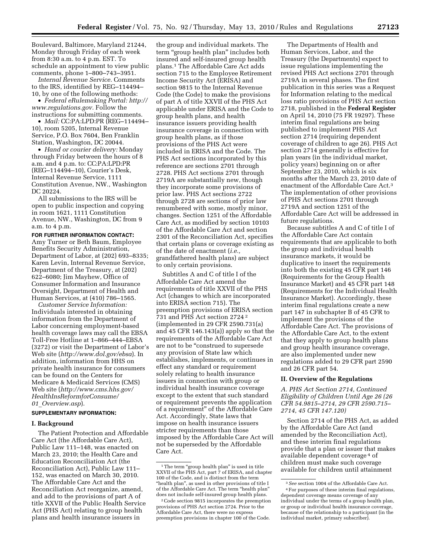Boulevard, Baltimore, Maryland 21244, Monday through Friday of each week from 8:30 a.m. to 4 p.m. EST. To schedule an appointment to view public comments, phone 1–800–743–3951.

*Internal Revenue Service.* Comments to the IRS, identified by REG–114494– 10, by one of the following methods:

• *Federal eRulemaking Portal: http:// www.regulations.gov.* Follow the instructions for submitting comments.

• *Mail:* CC:PA:LPD:PR (REG–114494– 10), room 5205, Internal Revenue Service, P.O. Box 7604, Ben Franklin Station, Washington, DC 20044.

• *Hand or courier delivery:* Monday through Friday between the hours of 8 a.m. and 4 p.m. to: CC:PA:LPD:PR (REG–114494–10), Courier's Desk, Internal Revenue Service, 1111 Constitution Avenue, NW., Washington DC 20224.

All submissions to the IRS will be open to public inspection and copying in room 1621, 1111 Constitution Avenue, NW., Washington, DC from 9 a.m. to 4 p.m.

**FOR FURTHER INFORMATION CONTACT:**  Amy Turner or Beth Baum, Employee Benefits Security Administration, Department of Labor, at (202) 693–8335; Karen Levin, Internal Revenue Service, Department of the Treasury, at (202) 622–6080; Jim Mayhew, Office of Consumer Information and Insurance Oversight, Department of Health and Human Services, at (410) 786–1565.

*Customer Service Information:*  Individuals interested in obtaining information from the Department of Labor concerning employment-based health coverage laws may call the EBSA Toll-Free Hotline at 1–866–444–EBSA (3272) or visit the Department of Labor's Web site (*http://www.dol.gov/ebsa*). In addition, information from HHS on private health insurance for consumers can be found on the Centers for Medicare & Medicaid Services (CMS) Web site (*http://www.cms.hhs.gov/ HealthInsReformforConsume/ 01*\_*Overview.asp*).

# **SUPPLEMENTARY INFORMATION:**

#### **I. Background**

The Patient Protection and Affordable Care Act (the Affordable Care Act), Public Law 111–148, was enacted on March 23, 2010; the Health Care and Education Reconciliation Act (the Reconciliation Act), Public Law 111– 152, was enacted on March 30, 2010. The Affordable Care Act and the Reconciliation Act reorganize, amend, and add to the provisions of part A of title XXVII of the Public Health Service Act (PHS Act) relating to group health plans and health insurance issuers in

the group and individual markets. The term "group health plan" includes both insured and self-insured group health plans.1 The Affordable Care Act adds section 715 to the Employee Retirement Income Security Act (ERISA) and section 9815 to the Internal Revenue Code (the Code) to make the provisions of part A of title XXVII of the PHS Act applicable under ERISA and the Code to group health plans, and health insurance issuers providing health insurance coverage in connection with group health plans, as if those provisions of the PHS Act were included in ERISA and the Code. The PHS Act sections incorporated by this reference are sections 2701 through 2728. PHS Act sections 2701 through 2719A are substantially new, though they incorporate some provisions of prior law. PHS Act sections 2722 through 2728 are sections of prior law renumbered with some, mostly minor, changes. Section 1251 of the Affordable Care Act, as modified by section 10103 of the Affordable Care Act and section 2301 of the Reconciliation Act, specifies that certain plans or coverage existing as of the date of enactment (*i.e.,*  grandfathered health plans) are subject to only certain provisions.

Subtitles A and C of title I of the Affordable Care Act amend the requirements of title XXVII of the PHS Act (changes to which are incorporated into ERISA section 715). The preemption provisions of ERISA section 731 and PHS Act section 2724 2 (implemented in 29 CFR 2590.731(a) and 45 CFR 146.143(a)) apply so that the requirements of the Affordable Care Act are not to be ''construed to supersede any provision of State law which establishes, implements, or continues in effect any standard or requirement solely relating to health insurance issuers in connection with group or individual health insurance coverage except to the extent that such standard or requirement prevents the application of a requirement'' of the Affordable Care Act. Accordingly, State laws that impose on health insurance issuers stricter requirements than those imposed by the Affordable Care Act will not be superseded by the Affordable Care Act.

The Departments of Health and Human Services, Labor, and the Treasury (the Departments) expect to issue regulations implementing the revised PHS Act sections 2701 through 2719A in several phases. The first publication in this series was a Request for Information relating to the medical loss ratio provisions of PHS Act section 2718, published in the **Federal Register**  on April 14, 2010 (75 FR 19297). These interim final regulations are being published to implement PHS Act section 2714 (requiring dependent coverage of children to age 26). PHS Act section 2714 generally is effective for plan years (in the individual market, policy years) beginning on or after September 23, 2010, which is six months after the March 23, 2010 date of enactment of the Affordable Care Act.3 The implementation of other provisions of PHS Act sections 2701 through 2719A and section 1251 of the Affordable Care Act will be addressed in future regulations.

Because subtitles A and C of title I of the Affordable Care Act contain requirements that are applicable to both the group and individual health insurance markets, it would be duplicative to insert the requirements into both the existing 45 CFR part 146 (Requirements for the Group Health Insurance Market) and 45 CFR part 148 (Requirements for the Individual Health Insurance Market). Accordingly, these interim final regulations create a new part 147 in subchapter B of 45 CFR to implement the provisions of the Affordable Care Act. The provisions of the Affordable Care Act, to the extent that they apply to group health plans and group health insurance coverage, are also implemented under new regulations added to 29 CFR part 2590 and 26 CFR part 54.

#### **II. Overview of the Regulations**

*A. PHS Act Section 2714, Continued Eligibility of Children Until Age 26 (26 CFR 54.9815–2714, 29 CFR 2590.715– 2714, 45 CFR 147.120)* 

Section 2714 of the PHS Act, as added by the Affordable Care Act (and amended by the Reconciliation Act), and these interim final regulations provide that a plan or issuer that makes available dependent coverage 4 of children must make such coverage available for children until attainment

 $^{\rm 1}\!$  The term "group health plan" is used in title XXVII of the PHS Act, part 7 of ERISA, and chapter 100 of the Code, and is distinct from the term "health plan", as used in other provisions of title I of the Affordable Care Act. The term ''health plan'' does not include self-insured group health plans.

<sup>2</sup>Code section 9815 incorporates the preemption provisions of PHS Act section 2724. Prior to the Affordable Care Act, there were no express preemption provisions in chapter 100 of the Code.

<sup>3</sup>*See* section 1004 of the Affordable Care Act. 4For purposes of these interim final regulations, dependent coverage means coverage of any individual under the terms of a group health plan, or group or individual health insurance coverage, because of the relationship to a participant (in the individual market, primary subscriber).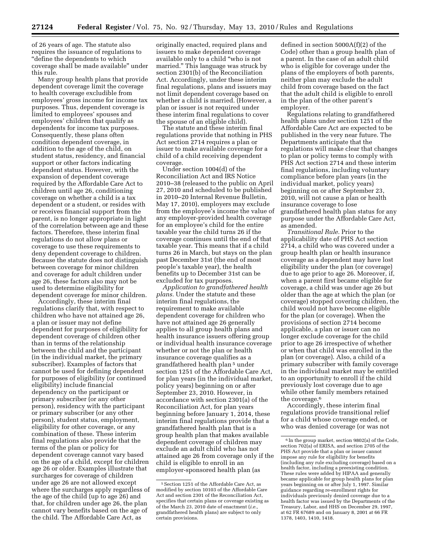of 26 years of age. The statute also requires the issuance of regulations to ''define the dependents to which coverage shall be made available'' under this rule.

Many group health plans that provide dependent coverage limit the coverage to health coverage excludible from employees' gross income for income tax purposes. Thus, dependent coverage is limited to employees' spouses and employees' children that qualify as dependents for income tax purposes. Consequently, these plans often condition dependent coverage, in addition to the age of the child, on student status, residency, and financial support or other factors indicating dependent status. However, with the expansion of dependent coverage required by the Affordable Care Act to children until age 26, conditioning coverage on whether a child is a tax dependent or a student, or resides with or receives financial support from the parent, is no longer appropriate in light of the correlation between age and these factors. Therefore, these interim final regulations do not allow plans or coverage to use these requirements to deny dependent coverage to children. Because the statute does not distinguish between coverage for minor children and coverage for adult children under age 26, these factors also may not be used to determine eligibility for dependent coverage for minor children.

Accordingly, these interim final regulations clarify that, with respect to children who have not attained age 26, a plan or issuer may not define dependent for purposes of eligibility for dependent coverage of children other than in terms of the relationship between the child and the participant (in the individual market, the primary subscriber). Examples of factors that cannot be used for defining dependent for purposes of eligibility (or continued eligibility) include financial dependency on the participant or primary subscriber (or any other person), residency with the participant or primary subscriber (or any other person), student status, employment, eligibility for other coverage, or any combination of these. These interim final regulations also provide that the terms of the plan or policy for dependent coverage cannot vary based on the age of a child, except for children age 26 or older. Examples illustrate that surcharges for coverage of children under age 26 are not allowed except where the surcharges apply regardless of the age of the child (up to age 26) and that, for children under age 26, the plan cannot vary benefits based on the age of the child. The Affordable Care Act, as

originally enacted, required plans and issuers to make dependent coverage available only to a child ''who is not married.'' This language was struck by section 2301(b) of the Reconciliation Act. Accordingly, under these interim final regulations, plans and issuers may not limit dependent coverage based on whether a child is married. (However, a plan or issuer is not required under these interim final regulations to cover the spouse of an eligible child).

The statute and these interim final regulations provide that nothing in PHS Act section 2714 requires a plan or issuer to make available coverage for a child of a child receiving dependent coverage.

Under section 1004(d) of the Reconciliation Act and IRS Notice 2010–38 (released to the public on April 27, 2010 and scheduled to be published in 2010–20 Internal Revenue Bulletin, May 17, 2010), employers may exclude from the employee's income the value of any employer-provided health coverage for an employee's child for the entire taxable year the child turns 26 if the coverage continues until the end of that taxable year. This means that if a child turns 26 in March, but stays on the plan past December 31st (the end of most people's taxable year), the health benefits up to December 31st can be excluded for tax purposes.

*Application to grandfathered health plans.* Under the statute and these interim final regulations, the requirement to make available dependent coverage for children who have not attained age 26 generally applies to all group health plans and health insurance issuers offering group or individual health insurance coverage whether or not the plan or health insurance coverage qualifies as a grandfathered health plan 5 under section 1251 of the Affordable Care Act, for plan years (in the individual market, policy years) beginning on or after September 23, 2010. However, in accordance with section 2301(a) of the Reconciliation Act, for plan years beginning before January 1, 2014, these interim final regulations provide that a grandfathered health plan that is a group health plan that makes available dependent coverage of children may exclude an adult child who has not attained age 26 from coverage only if the child is eligible to enroll in an employer-sponsored health plan (as

defined in section 5000A(f)(2) of the Code) other than a group health plan of a parent. In the case of an adult child who is eligible for coverage under the plans of the employers of both parents, neither plan may exclude the adult child from coverage based on the fact that the adult child is eligible to enroll in the plan of the other parent's employer.

Regulations relating to grandfathered health plans under section 1251 of the Affordable Care Act are expected to be published in the very near future. The Departments anticipate that the regulations will make clear that changes to plan or policy terms to comply with PHS Act section 2714 and these interim final regulations, including voluntary compliance before plan years (in the individual market, policy years) beginning on or after September 23, 2010, will not cause a plan or health insurance coverage to lose grandfathered health plan status for any purpose under the Affordable Care Act, as amended.

*Transitional Rule.* Prior to the applicability date of PHS Act section 2714, a child who was covered under a group health plan or health insurance coverage as a dependent may have lost eligibility under the plan (or coverage) due to age prior to age 26. Moreover, if, when a parent first became eligible for coverage, a child was under age 26 but older than the age at which the plan (or coverage) stopped covering children, the child would not have become eligible for the plan (or coverage). When the provisions of section 2714 become applicable, a plan or issuer can no longer exclude coverage for the child prior to age 26 irrespective of whether or when that child was enrolled in the plan (or coverage). Also, a child of a primary subscriber with family coverage in the individual market may be entitled to an opportunity to enroll if the child previously lost coverage due to age while other family members retained the coverage.<sup>6</sup>

Accordingly, these interim final regulations provide transitional relief for a child whose coverage ended, or who was denied coverage (or was not

<sup>5</sup>Section 1251 of the Affordable Care Act, as modified by section 10103 of the Affordable Care Act and section 2301 of the Reconciliation Act, specifies that certain plans or coverage existing as of the March 23, 2010 date of enactment (*i.e.,*  grandfathered health plans) are subject to only certain provisions.

<sup>6</sup> In the group market, section 9802(a) of the Code, section 702(a) of ERISA, and section 2705 of the PHS Act provide that a plan or issuer cannot impose any rule for eligibility for benefits (including any rule excluding coverage) based on a health factor, including a preexisting condition. These rules were added by HIPAA and generally became applicable for group health plans for plan years beginning on or after July 1, 1997. Similar guidance regarding re-enrollment rights for individuals previously denied coverage due to a health factor was issued by the Departments of the Treasury, Labor, and HHS on December 29, 1997, at 62 FR 67689 and on January 8, 2001 at 66 FR 1378, 1403, 1410, 1418.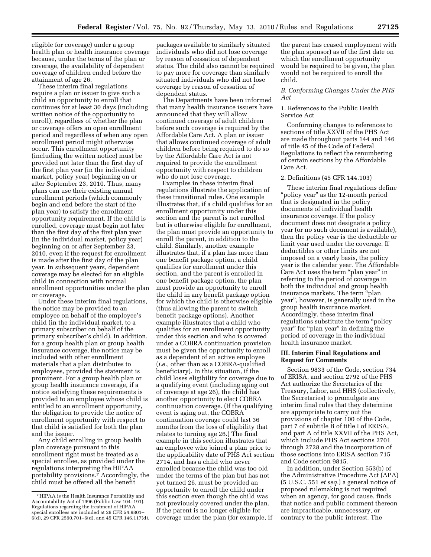eligible for coverage) under a group health plan or health insurance coverage because, under the terms of the plan or coverage, the availability of dependent coverage of children ended before the attainment of age 26.

These interim final regulations require a plan or issuer to give such a child an opportunity to enroll that continues for at least 30 days (including written notice of the opportunity to enroll), regardless of whether the plan or coverage offers an open enrollment period and regardless of when any open enrollment period might otherwise occur. This enrollment opportunity (including the written notice) must be provided not later than the first day of the first plan year (in the individual market, policy year) beginning on or after September 23, 2010. Thus, many plans can use their existing annual enrollment periods (which commonly begin and end before the start of the plan year) to satisfy the enrollment opportunity requirement. If the child is enrolled, coverage must begin not later than the first day of the first plan year (in the individual market, policy year) beginning on or after September 23, 2010, even if the request for enrollment is made after the first day of the plan year. In subsequent years, dependent coverage may be elected for an eligible child in connection with normal enrollment opportunities under the plan or coverage.

Under these interim final regulations, the notice may be provided to an employee on behalf of the employee's child (in the individual market, to a primary subscriber on behalf of the primary subscriber's child). In addition, for a group health plan or group health insurance coverage, the notice may be included with other enrollment materials that a plan distributes to employees, provided the statement is prominent. For a group health plan or group health insurance coverage, if a notice satisfying these requirements is provided to an employee whose child is entitled to an enrollment opportunity, the obligation to provide the notice of enrollment opportunity with respect to that child is satisfied for both the plan and the issuer.

Any child enrolling in group health plan coverage pursuant to this enrollment right must be treated as a special enrollee, as provided under the regulations interpreting the HIPAA portability provisions.7 Accordingly, the child must be offered all the benefit

packages available to similarly situated individuals who did not lose coverage by reason of cessation of dependent status. The child also cannot be required to pay more for coverage than similarly situated individuals who did not lose coverage by reason of cessation of dependent status.

The Departments have been informed that many health insurance issuers have announced that they will allow continued coverage of adult children before such coverage is required by the Affordable Care Act. A plan or issuer that allows continued coverage of adult children before being required to do so by the Affordable Care Act is not required to provide the enrollment opportunity with respect to children who do not lose coverage.

Examples in these interim final regulations illustrate the application of these transitional rules. One example illustrates that, if a child qualifies for an enrollment opportunity under this section and the parent is not enrolled but is otherwise eligible for enrollment, the plan must provide an opportunity to enroll the parent, in addition to the child. Similarly, another example illustrates that, if a plan has more than one benefit package option, a child qualifies for enrollment under this section, and the parent is enrolled in one benefit package option, the plan must provide an opportunity to enroll the child in any benefit package option for which the child is otherwise eligible (thus allowing the parent to switch benefit package options). Another example illustrates that a child who qualifies for an enrollment opportunity under this section and who is covered under a COBRA continuation provision must be given the opportunity to enroll as a dependent of an active employee (*i.e.,* other than as a COBRA-qualified beneficiary). In this situation, if the child loses eligibility for coverage due to a qualifying event (including aging out of coverage at age 26), the child has another opportunity to elect COBRA continuation coverage. (If the qualifying event is aging out, the COBRA continuation coverage could last 36 months from the loss of eligibility that relates to turning age 26.) The final example in this section illustrates that an employee who joined a plan prior to the applicability date of PHS Act section 2714, and has a child who never enrolled because the child was too old under the terms of the plan but has not yet turned 26, must be provided an opportunity to enroll the child under this section even though the child was not previously covered under the plan. If the parent is no longer eligible for coverage under the plan (for example, if

the parent has ceased employment with the plan sponsor) as of the first date on which the enrollment opportunity would be required to be given, the plan would not be required to enroll the child.

# *B. Conforming Changes Under the PHS Act*

# 1. References to the Public Health Service Act

Conforming changes to references to sections of title XXVII of the PHS Act are made throughout parts 144 and 146 of title 45 of the Code of Federal Regulations to reflect the renumbering of certain sections by the Affordable Care Act.

#### 2. Definitions (45 CFR 144.103)

These interim final regulations define ''policy year'' as the 12-month period that is designated in the policy documents of individual health insurance coverage. If the policy document does not designate a policy year (or no such document is available), then the policy year is the deductible or limit year used under the coverage. If deductibles or other limits are not imposed on a yearly basis, the policy year is the calendar year. The Affordable Care Act uses the term "plan year" in referring to the period of coverage in both the individual and group health insurance markets. The term ''plan year'', however, is generally used in the group health insurance market. Accordingly, these interim final regulations substitute the term ''policy year" for "plan year" in defining the period of coverage in the individual health insurance market.

# **III. Interim Final Regulations and Request for Comments**

Section 9833 of the Code, section 734 of ERISA, and section 2792 of the PHS Act authorize the Secretaries of the Treasury, Labor, and HHS (collectively, the Secretaries) to promulgate any interim final rules that they determine are appropriate to carry out the provisions of chapter 100 of the Code, part 7 of subtitle B of title I of ERISA, and part A of title XXVII of the PHS Act, which include PHS Act sections 2701 through 2728 and the incorporation of those sections into ERISA section 715 and Code section 9815.

In addition, under Section 553(b) of the Administrative Procedure Act (APA) (5 U.S.C. 551 *et seq.*) a general notice of proposed rulemaking is not required when an agency, for good cause, finds that notice and public comment thereon are impracticable, unnecessary, or contrary to the public interest. The

<sup>7</sup>HIPAA is the Health Insurance Portability and Accountability Act of 1996 (Public Law 104–191). Regulations regarding the treatment of HIPAA special enrollees are included at 26 CFR 54.9801– 6(d), 29 CFR 2590.701–6(d), and 45 CFR 146.117(d).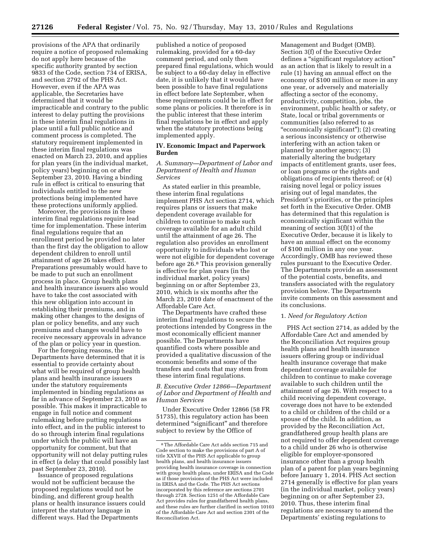provisions of the APA that ordinarily require a notice of proposed rulemaking do not apply here because of the specific authority granted by section 9833 of the Code, section 734 of ERISA, and section 2792 of the PHS Act. However, even if the APA was applicable, the Secretaries have determined that it would be impracticable and contrary to the public interest to delay putting the provisions in these interim final regulations in place until a full public notice and comment process is completed. The statutory requirement implemented in these interim final regulations was enacted on March 23, 2010, and applies for plan years (in the individual market, policy years) beginning on or after September 23, 2010. Having a binding rule in effect is critical to ensuring that individuals entitled to the new protections being implemented have these protections uniformly applied.

Moreover, the provisions in these interim final regulations require lead time for implementation. These interim final regulations require that an enrollment period be provided no later than the first day the obligation to allow dependent children to enroll until attainment of age 26 takes effect. Preparations presumably would have to be made to put such an enrollment process in place. Group health plans and health insurance issuers also would have to take the cost associated with this new obligation into account in establishing their premiums, and in making other changes to the designs of plan or policy benefits, and any such premiums and changes would have to receive necessary approvals in advance of the plan or policy year in question.

For the foregoing reasons, the Departments have determined that it is essential to provide certainty about what will be required of group health plans and health insurance issuers under the statutory requirements implemented in binding regulations as far in advance of September 23, 2010 as possible. This makes it impracticable to engage in full notice and comment rulemaking before putting regulations into effect, and in the public interest to do so through interim final regulations under which the public will have an opportunity for comment, but that opportunity will not delay putting rules in effect (a delay that could possibly last past September 23, 2010).

Issuance of proposed regulations would not be sufficient because the proposed regulations would not be binding, and different group health plans or health insurance issuers could interpret the statutory language in different ways. Had the Departments

published a notice of proposed rulemaking, provided for a 60-day comment period, and only then prepared final regulations, which would be subject to a 60-day delay in effective date, it is unlikely that it would have been possible to have final regulations in effect before late September, when these requirements could be in effect for some plans or policies. It therefore is in the public interest that these interim final regulations be in effect and apply when the statutory protections being implemented apply.

## **IV. Economic Impact and Paperwork Burden**

#### *A. Summary—Department of Labor and Department of Health and Human Services*

As stated earlier in this preamble, these interim final regulations implement PHS Act section 2714, which requires plans or issuers that make dependent coverage available for children to continue to make such coverage available for an adult child until the attainment of age 26. The regulation also provides an enrollment opportunity to individuals who lost or were not eligible for dependent coverage before age 26.8 This provision generally is effective for plan years (in the individual market, policy years) beginning on or after September 23, 2010, which is six months after the March 23, 2010 date of enactment of the Affordable Care Act.

The Departments have crafted these interim final regulations to secure the protections intended by Congress in the most economically efficient manner possible. The Departments have quantified costs where possible and provided a qualitative discussion of the economic benefits and some of the transfers and costs that may stem from these interim final regulations.

## *B. Executive Order 12866—Department of Labor and Department of Health and Human Services*

Under Executive Order 12866 (58 FR 51735), this regulatory action has been determined "significant" and therefore subject to review by the Office of

Management and Budget (OMB). Section 3(f) of the Executive Order defines a "significant regulatory action" as an action that is likely to result in a rule (1) having an annual effect on the economy of \$100 million or more in any one year, or adversely and materially affecting a sector of the economy, productivity, competition, jobs, the environment, public health or safety, or State, local or tribal governments or communities (also referred to as ''economically significant''); (2) creating a serious inconsistency or otherwise interfering with an action taken or planned by another agency; (3) materially altering the budgetary impacts of entitlement grants, user fees, or loan programs or the rights and obligations of recipients thereof; or (4) raising novel legal or policy issues arising out of legal mandates, the President's priorities, or the principles set forth in the Executive Order. OMB has determined that this regulation is economically significant within the meaning of section 3(f)(1) of the Executive Order, because it is likely to have an annual effect on the economy of \$100 million in any one year. Accordingly, OMB has reviewed these rules pursuant to the Executive Order. The Departments provide an assessment of the potential costs, benefits, and transfers associated with the regulatory provision below. The Departments invite comments on this assessment and its conclusions.

# 1. *Need for Regulatory Action*

PHS Act section 2714, as added by the Affordable Care Act and amended by the Reconciliation Act requires group health plans and health insurance issuers offering group or individual health insurance coverage that make dependent coverage available for children to continue to make coverage available to such children until the attainment of age 26. With respect to a child receiving dependent coverage, coverage does not have to be extended to a child or children of the child or a spouse of the child. In addition, as provided by the Reconciliation Act, grandfathered group health plans are not required to offer dependent coverage to a child under 26 who is otherwise eligible for employer-sponsored insurance other than a group health plan of a parent for plan years beginning before January 1, 2014. PHS Act section 2714 generally is effective for plan years (in the individual market, policy years) beginning on or after September 23, 2010. Thus, these interim final regulations are necessary to amend the Departments' existing regulations to

<sup>8</sup>The Affordable Care Act adds section 715 and Code section to make the provisions of part A of title XXVII of the PHS Act applicable to group health plans, and health insurance issuers providing health insurance coverage in connection with group health plans, under ERISA and the Code as if those provisions of the PHS Act were included in ERISA and the Code. The PHS Act sections incorporated by this reference are sections 2701 through 2728. Section 1251 of the Affordable Care Act provides rules for grandfathered health plans, and these rules are further clarified in section 10103 of the Affordable Care Act and section 2301 of the Reconciliation Act.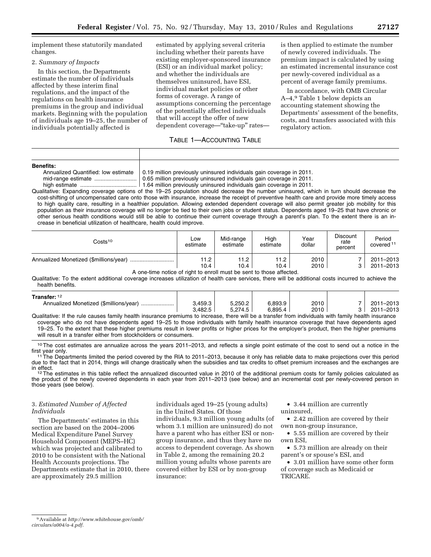implement these statutorily mandated changes.

# 2. *Summary of Impacts*

In this section, the Departments estimate the number of individuals affected by these interim final regulations, and the impact of the regulations on health insurance premiums in the group and individual markets. Beginning with the population of individuals age 19–25, the number of individuals potentially affected is

estimated by applying several criteria including whether their parents have existing employer-sponsored insurance (ESI) or an individual market policy; and whether the individuals are themselves uninsured, have ESI, individual market policies or other forms of coverage. A range of assumptions concerning the percentage of the potentially affected individuals that will accept the offer of new dependent coverage—''take-up'' rates—

# TABLE 1—ACCOUNTING TABLE

is then applied to estimate the number of newly covered individuals. The premium impact is calculated by using an estimated incremental insurance cost per newly-covered individual as a percent of average family premiums.

In accordance, with OMB Circular A–4,9 Table 1 below depicts an accounting statement showing the Departments' assessment of the benefits, costs, and transfers associated with this regulatory action.

| <b>Benefits:</b>                        |
|-----------------------------------------|
| $\lambda$ nnualizad $\bigcap_{n\geq n}$ |

| Annualized Quantified: low estimate |
|-------------------------------------|
|                                     |
| high actimate                       |

0.19 million previously uninsured individuals gain coverage in 2011. 0.65 million previously uninsured individuals gain coverage in 2011.

high estimate .................................... 1.64 million previously uninsured individuals gain coverage in 2011. Qualitative: Expanding coverage options of the 19–25 population should decrease the number uninsured, which in turn should decrease the cost-shifting of uncompensated care onto those with insurance, increase the receipt of preventive health care and provide more timely access to high quality care, resulting in a healthier population. Allowing extended dependent coverage will also permit greater job mobility for this population as their insurance coverage will no longer be tied to their own jobs or student status. Dependents aged 19–25 that have chronic or other serious health conditions would still be able to continue their current coverage through a parent's plan. To the extent there is an increase in beneficial utilization of healthcare, health could improve.

| $\mathsf{Costs^{10}}$                  | Low<br>estimate | Mid-range<br>estimate | High<br>estimate | Year<br>dollar | <b>Discount</b><br>rate<br>percent | Period<br>covered <sup>11</sup> |
|----------------------------------------|-----------------|-----------------------|------------------|----------------|------------------------------------|---------------------------------|
| Annualized Monetized (\$millions/year) | 11.2            | 11.2                  | 11.2             | 2010           |                                    | 2011-2013                       |
|                                        | 10.4            | 10.4                  | 10.4             | 2010           |                                    | 2011-2013                       |

A one-time notice of right to enroll must be sent to those affected.

Qualitative: To the extent additional coverage increases utilization of health care services, there will be additional costs incurred to achieve the health benefits.

| Transfer: 12                                                                                                                                         |         |         |         |      |           |
|------------------------------------------------------------------------------------------------------------------------------------------------------|---------|---------|---------|------|-----------|
|                                                                                                                                                      | 3.459.3 | 5.250.2 | 6.893.9 | 2010 | 2011-2013 |
|                                                                                                                                                      | 3.482.5 | 5.274.5 | 6.895.4 | 2010 | 2011-2013 |
| Qualitative: If the rule causes family health insurance premiums to increase, there will be a transfer from individuals with family health insurance |         |         |         |      |           |

coverage who do not have dependents aged 19–25 to those individuals with family health insurance coverage that have dependents aged 19–25. To the extent that these higher premiums result in lower profits or higher prices for the employer's product, then the higher premiums will result in a transfer either from stockholders or consumers.

<sup>10</sup>The cost estimates are annualize across the years 2011–2013, and reflects a single point estimate of the cost to send out a notice in the first year only.

<sup>11</sup>The Departments limited the period covered by the RIA to 2011–2013, because it only has reliable data to make projections over this period due to the fact that in 2014, things will change drastically when the subsidies and tax credits to offset premium increases and the exchanges are<br>in effect.

 $12$  The estimates in this table reflect the annualized discounted value in 2010 of the additional premium costs for family policies calculated as the product of the newly covered dependents in each year from 2011–2013 (see below) and an incremental cost per newly-covered person in those years (see below).

# 3. *Estimated Number of Affected Individuals*

The Departments' estimates in this section are based on the 2004–2006 Medical Expenditure Panel Survey Household Component (MEPS–HC) which was projected and calibrated to 2010 to be consistent with the National Health Accounts projections. The Departments estimate that in 2010, there are approximately 29.5 million

individuals aged 19–25 (young adults) in the United States. Of those individuals, 9.3 million young adults (of

whom 3.1 million are uninsured) do not have a parent who has either ESI or nongroup insurance, and thus they have no access to dependent coverage. As shown in Table 2, among the remaining 20.2 million young adults whose parents are covered either by ESI or by non-group insurance:

• 3.44 million are currently uninsured,

• 2.42 million are covered by their own non-group insurance,

• 5.55 million are covered by their own ESI,

• 5.73 million are already on their parent's or spouse's ESI, and

• 3.01 million have some other form of coverage such as Medicaid or TRICARE.

<sup>9</sup>Available at *http://www.whitehouse.gov/omb/ circulars/a004/a-4.pdf.*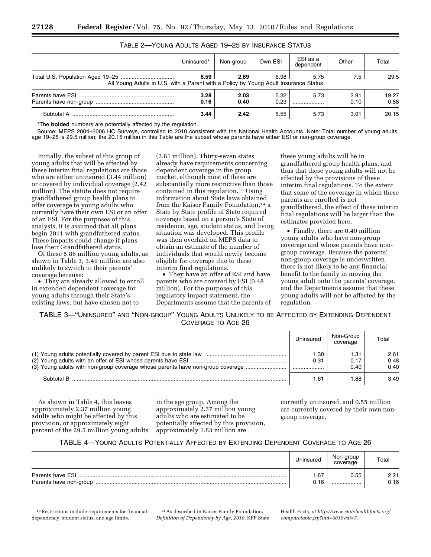|                                                                                                                      | Uninsured*   | Non-group    | Own ESI      | ESI as a<br>dependent | Other        | Total         |
|----------------------------------------------------------------------------------------------------------------------|--------------|--------------|--------------|-----------------------|--------------|---------------|
| 6.59<br>6.98<br>2.69<br>5.75<br>All Young Adults in U.S. with a Parent with a Policy by Young Adult Insurance Status |              |              |              |                       |              | 29.5          |
|                                                                                                                      | 3.28<br>0.16 | 2.03<br>0.40 | 5.32<br>0.23 | 5.73                  | 2.91<br>0.10 | 19.27<br>0.88 |
| Subtotal A                                                                                                           | 3.44         | 2.42         | 5.55         | 5.73                  | 3.01         | 20.15         |

# TABLE 2—YOUNG ADULTS AGED 19–25 BY INSURANCE STATUS

\*The **bolded** numbers are potentially affected by the regulation.

Source: MEPS 2004–2006 HC Surveys, controlled to 2010 consistent with the National Health Accounts. Note: Total number of young adults, age 19–25 is 29.5 million; the 20.15 million in this Table are the subset whose parents have either ESI or non-group coverage.

Initially, the subset of this group of young adults that will be affected by these interim final regulations are those who are either uninsured (3.44 million) or covered by individual coverage (2.42 million). The statute does not require grandfathered group health plans to offer coverage to young adults who currently have their own ESI or an offer of an ESI. For the purposes of this analysis, it is assumed that all plans begin 2011 with grandfathered status. These impacts could change if plans lose their Grandfathered status.

Of these 5.86 million young adults, as shown in Table 3, 3.49 million are also unlikely to switch to their parents' coverage because:

• They are already allowed to enroll in extended dependent coverage for young adults through their State's existing laws, but have chosen not to

(2.61 million). Thirty-seven states already have requirements concerning dependent coverage in the group market, although most of these are substantially more restrictive than those contained in this regulation.13 Using information about State laws obtained from the Kaiser Family Foundation,<sup>14</sup> a State by State profile of State required coverage based on a person's State of residence, age, student status, and living situation was developed. This profile was then overlaid on MEPS data to obtain an estimate of the number of individuals that would newly become eligible for coverage due to these interim final regulations.

• They have an offer of ESI and have parents who are covered by ESI (0.48 million). For the purposes of this regulatory impact statement, the Departments assume that the parents of

these young adults will be in grandfathered group health plans, and thus that these young adults will not be affected by the provisions of these interim final regulations. To the extent that some of the coverage in which these parents are enrolled is not grandfathered, the effect of these interim final regulations will be larger than the estimates provided here.

• Finally, there are 0.40 million young adults who have non-group coverage and whose parents have nongroup coverage. Because the parents' non-group coverage is underwritten, there is not likely to be any financial benefit to the family in moving the young adult onto the parents' coverage, and the Departments assume that these young adults will not be affected by the regulation.

TABLE 3—''UNINSURED'' AND ''NON-GROUP'' YOUNG ADULTS UNLIKELY TO BE AFFECTED BY EXTENDING DEPENDENT COVERAGE TO AGE 26

|                                                                                | Uninsured     | Non-Group<br>coverage | Total                |
|--------------------------------------------------------------------------------|---------------|-----------------------|----------------------|
| (3) Young adults with non-group coverage whose parents have non-group coverage | l .30<br>0.31 | I.31<br>0.17<br>0.40  | 2.61<br>0.48<br>0.40 |
| Subtotal B                                                                     | .61           | .88                   | 3.49                 |

As shown in Table 4, this leaves approximately 2.37 million young adults who might be affected by this provision, or approximately eight percent of the 29.5 million young adults

in the age group. Among the approximately 2.37 million young adults who are estimated to be potentially affected by this provision, approximately 1.83 million are

currently uninsured, and 0.55 million are currently covered by their own nongroup coverage.

# TABLE 4—YOUNG ADULTS POTENTIALLY AFFECTED BY EXTENDING DEPENDENT COVERAGE TO AGE 26

|                  | Uninsured | Non-group<br>coverage | Total |
|------------------|-----------|-----------------------|-------|
| Parents have ESI | .67       | 0.55                  | 2.21  |
|                  | በ 16      |                       | 0.16  |

<sup>13</sup>Restrictions include requirements for financial dependency, student status, and age limits.

<sup>14</sup>As described in Kaiser Family Foundation, *Definition of Dependency by Age, 2010,* KFF State

Health Facts, *at http://www.statehealthfacts.org/ comparetable.jsp?ind=601&cat=7.*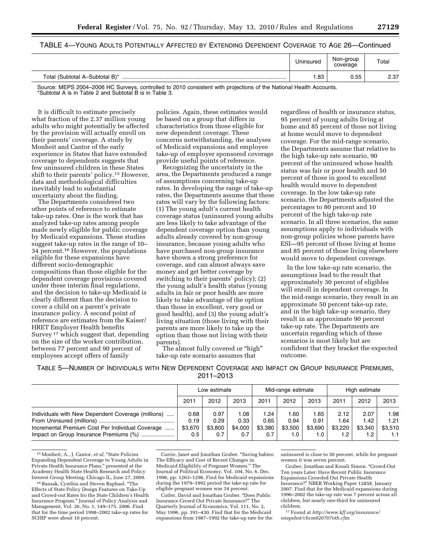# TABLE 4—YOUNG ADULTS POTENTIALLY AFFECTED BY EXTENDING DEPENDENT COVERAGE TO AGE 26—Continued

|                                                                                | Uninsured | Non-group<br>coverage | Total |
|--------------------------------------------------------------------------------|-----------|-----------------------|-------|
| Total (Subtotal A-Subtotal B)*                                                 | .83       | 0.55                  | 2.37  |
| $1.1 - 0.0$ 0.00 $1.00$ 0.00 $\sigma$<br>.<br>$\cdots$ $\cdots$<br>.<br>$\sim$ | .         |                       |       |

Source: MEPS 2004–2006 HC Surveys, controlled to 2010 consistent with projections of the National Health Accounts. \*Subtotal A is in Table 2 and Subtotal B is in Table 3.

It is difficult to estimate precisely what fraction of the 2.37 million young adults who might potentially be affected by the provision will actually enroll on their parents' coverage. A study by Monheit and Cantor of the early experience in States that have extended coverage to dependents suggests that few uninsured children in these States shift to their parents' policy.15 However, data and methodological difficulties inevitably lead to substantial uncertainty about the finding.

The Departments considered two other points of reference to estimate take-up rates. One is the work that has analyzed take-up rates among people made newly eligible for public coverage by Medicaid expansions. These studies suggest take-up rates in the range of 10– 34 percent.16 However, the populations eligible for these expansions have different socio-demographic compositions than those eligible for the dependent coverage provisions covered under these interim final regulations, and the decision to take-up Medicaid is clearly different than the decision to cover a child on a parent's private insurance policy. A second point of reference are estimates from the Kaiser/ HRET Employer Health benefits Survey 17 which suggest that, depending on the size of the worker contribution, between 77 percent and 90 percent of employees accept offers of family

policies. Again, these estimates would be based on a group that differs in characteristics from those eligible for new dependent coverage. These concerns notwithstanding, the analyses of Medicaid expansions and employee take-up of employer sponsored coverage provide useful points of reference.

Recognizing the uncertainty in the area, the Departments produced a range of assumptions concerning take-up rates. In developing the range of take-up rates, the Departments assume that these rates will vary by the following factors: (1) The young adult's current health coverage status (uninsured young adults are less likely to take advantage of the dependent coverage option than young adults already covered by non-group insurance, because young adults who have purchased non-group insurance have shown a strong preference for coverage, and can almost always save money and get better coverage by switching to their parents' policy); (2) the young adult's health status (young adults in fair or poor health are more likely to take advantage of the option than those in excellent, very good or good health), and (3) the young adult's living situation (those living with their parents are more likely to take up the option than those not living with their parents).

The almost fully covered or "high" take-up rate scenario assumes that

regardless of health or insurance status, 95 percent of young adults living at home and 85 percent of those not living at home would move to dependent coverage. For the mid-range scenario, the Departments assume that relative to the high take-up rate scenario, 90 percent of the uninsured whose health status was fair or poor health and 50 percent of those in good to excellent health would move to dependent coverage. In the low take-up rate scenario, the Departments adjusted the percentages to 80 percent and 10 percent of the high take-up rate scenario. In all three scenarios, the same assumptions apply to individuals with non-group policies whose parents have ESI—95 percent of those living at home and 85 percent of those living elsewhere would move to dependent coverage.

In the low take-up rate scenario, the assumptions lead to the result that approximately 30 percent of eligibles will enroll in dependent coverage. In the mid-range scenario, they result in an approximate 50 percent take-up rate, and in the high take-up scenario, they result in an approximate 90 percent take-up rate. The Departments are uncertain regarding which of these scenarios is most likely but are confident that they bracket the expected outcome.

TABLE 5—NUMBER OF INDIVIDUALS WITH NEW DEPENDENT COVERAGE AND IMPACT ON GROUP INSURANCE PREMIUMS, 2011–2013

|                                                                                                                                                  | Low estimate                   |                                | Mid-range estimate            |                                | High estimate                 |                                |                                            |                                |                                |
|--------------------------------------------------------------------------------------------------------------------------------------------------|--------------------------------|--------------------------------|-------------------------------|--------------------------------|-------------------------------|--------------------------------|--------------------------------------------|--------------------------------|--------------------------------|
|                                                                                                                                                  | 2011                           | 2012                           | 2013                          | 2011                           | 2012                          | 2013                           | 2011                                       | 2012                           | 2013                           |
| Individuals with New Dependent Coverage (millions)<br>Incremental Premium Cost Per Individual Coverage<br>Impact on Group Insurance Premiums (%) | 0.68<br>0.19<br>\$3,670<br>0.5 | 0.97<br>0.29<br>\$3,800<br>0.7 | .08<br>0.33<br>\$4,000<br>0.7 | 1.24<br>0.65<br>\$3,380<br>0.7 | .60<br>0.94<br>\$3.500<br>1.0 | 1.65<br>0.91<br>\$3,690<br>1.0 | 2.12<br>.64<br>\$3.220<br>1.2 <sub>1</sub> | 2.07<br>1.42<br>\$3.340<br>1.2 | 1.98<br>1.21<br>\$3.510<br>1.1 |

<sup>&</sup>lt;sup>15</sup> Monheit, A., J. Cantor, et al, "State Policies Expanding Dependent Coverage to Young Adults in Private Health Insurance Plans,'' presented at the Academy Health State Health Research and Policy Interest Group Meeting, Chicago IL, June 27, 2009.

Currie, Janet and Jonathan Gruber. ''Saving babies: The Efficacy and Cost of Recent Changes in Medicaid Eligibility of Pregnant Women.'' The Journal of Political Economy, Vol. 104, No. 6, Dec. 1996, pp. 1263–1296. Find for Medicaid expansions during the 1979–1992 period the take-up rate for eligible pregnant women was 34 percent.

Cutler, David and Jonathan Gruber. ''Does Public Insurance Crowd Out Private Insurance?'' The Quarterly Journal of Economics, Vol. 111, No. 2, May 1996, pp. 391–430. Find that for the Medicaid expansions from 1987–1992 the take-up rate for the uninsured is close to 30 percent, while for pregnant women it was seven percent.

Gruber, Jonathan and Kosali Simon. ''Crowd-Out Ten years Later: Have Recent Public Insurance Expansions Crowded Out Private Health Insurance?'' NBER Working Paper 12858. January 2007. Find that for the Medicaid expansions during 1996–2002 the take-up rate was 7 percent across all children, but nearly one-third for uninsured children.

17Found at *http://www.kff.org/insurance/ snapshot/chcm020707oth.cfm.* 

<sup>&</sup>lt;sup>16</sup> Bansak, Cynthia and Steven Raphael. "The Effects of State Policy Design Features on Take-Up and Crowd-out Rates fro the State Children's Health Insurance Program.'' Journal of Policy Analysis and Management, Vol. 26, No. 1, 149–175. 2006. Find that for the time period 1998–2002 take-up rates for SCHIP were about 10 percent.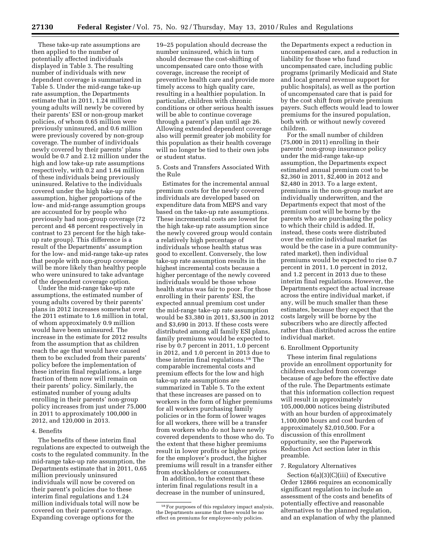These take-up rate assumptions are then applied to the number of potentially affected individuals displayed in Table 3. The resulting number of individuals with new dependent coverage is summarized in Table 5. Under the mid-range take-up rate assumption, the Departments estimate that in 2011, 1.24 million young adults will newly be covered by their parents' ESI or non-group market policies, of whom 0.65 million were previously uninsured, and 0.6 million were previously covered by non-group coverage. The number of individuals newly covered by their parents' plans would be 0.7 and 2.12 million under the high and low take-up rate assumptions respectively, with 0.2 and 1.64 million of these individuals being previously uninsured. Relative to the individuals covered under the high take-up rate assumption, higher proportions of the low- and mid-range assumption groups are accounted for by people who previously had non-group coverage (72 percent and 48 percent respectively in contrast to 23 percent for the high takeup rate group). This difference is a result of the Departments' assumption for the low- and mid-range take-up rates that people with non-group coverage will be more likely than healthy people who were uninsured to take advantage of the dependent coverage option.

Under the mid-range take-up rate assumptions, the estimated number of young adults covered by their parents' plans in 2012 increases somewhat over the 2011 estimate to 1.6 million in total, of whom approximately 0.9 million would have been uninsured. The increase in the estimate for 2012 results from the assumption that as children reach the age that would have caused them to be excluded from their parents' policy before the implementation of these interim final regulations, a large fraction of them now will remain on their parents' policy. Similarly, the estimated number of young adults enrolling in their parents' non-group policy increases from just under 75,000 in 2011 to approximately 100,000 in 2012, and 120,000 in 2013.

#### 4. Benefits

The benefits of these interim final regulations are expected to outweigh the costs to the regulated community. In the mid-range take-up rate assumption, the Departments estimate that in 2011, 0.65 million previously uninsured individuals will now be covered on their parent's policies due to these interim final regulations and 1.24 million individuals total will now be covered on their parent's coverage. Expanding coverage options for the

19–25 population should decrease the number uninsured, which in turn should decrease the cost-shifting of uncompensated care onto those with coverage, increase the receipt of preventive health care and provide more timely access to high quality care, resulting in a healthier population. In particular, children with chronic conditions or other serious health issues will be able to continue coverage through a parent's plan until age 26. Allowing extended dependent coverage also will permit greater job mobility for this population as their health coverage will no longer be tied to their own jobs or student status.

5. Costs and Transfers Associated With the Rule

Estimates for the incremental annual premium costs for the newly covered individuals are developed based on expenditure data from MEPS and vary based on the take-up rate assumptions. These incremental costs are lowest for the high take-up rate assumption since the newly covered group would contain a relatively high percentage of individuals whose health status was good to excellent. Conversely, the low take-up rate assumption results in the highest incremental costs because a higher percentage of the newly covered individuals would be those whose health status was fair to poor. For those enrolling in their parents' ESI, the expected annual premium cost under the mid-range take-up rate assumption would be \$3,380 in 2011, \$3,500 in 2012 and \$3,690 in 2013. If these costs were distributed among all family ESI plans, family premiums would be expected to rise by 0.7 percent in 2011, 1.0 percent in 2012, and 1.0 percent in 2013 due to these interim final regulations.18 The comparable incremental costs and premium effects for the low and high take-up rate assumptions are summarized in Table 5. To the extent that these increases are passed on to workers in the form of higher premiums for all workers purchasing family policies or in the form of lower wages for all workers, there will be a transfer from workers who do not have newly covered dependents to those who do. To the extent that these higher premiums result in lower profits or higher prices for the employer's product, the higher premiums will result in a transfer either from stockholders or consumers.

In addition, to the extent that these interim final regulations result in a decrease in the number of uninsured,

the Departments expect a reduction in uncompensated care, and a reduction in liability for those who fund uncompensated care, including public programs (primarily Medicaid and State and local general revenue support for public hospitals), as well as the portion of uncompensated care that is paid for by the cost shift from private premium payers. Such effects would lead to lower premiums for the insured population, both with or without newly covered children.

For the small number of children (75,000 in 2011) enrolling in their parents' non-group insurance policy under the mid-range take-up assumption, the Departments expect estimated annual premium cost to be \$2,360 in 2011, \$2,400 in 2012 and \$2,480 in 2013. To a large extent, premiums in the non-group market are individually underwritten, and the Departments expect that most of the premium cost will be borne by the parents who are purchasing the policy to which their child is added. If, instead, these costs were distributed over the entire individual market (as would be the case in a pure communityrated market), then individual premiums would be expected to rise 0.7 percent in 2011, 1.0 percent in 2012, and 1.2 percent in 2013 due to these interim final regulations. However, the Departments expect the actual increase across the entire individual market, if any, will be much smaller than these estimates, because they expect that the costs largely will be borne by the subscribers who are directly affected rather than distributed across the entire individual market.

#### 6. Enrollment Opportunity

These interim final regulations provide an enrollment opportunity for children excluded from coverage because of age before the effective date of the rule. The Departments estimate that this information collection request will result in approximately 105,000,000 notices being distributed with an hour burden of approximately 1,100,000 hours and cost burden of approximately \$2,010,500. For a discussion of this enrollment opportunity, see the Paperwork Reduction Act section later in this preamble.

#### 7. Regulatory Alternatives

Section 6(a)(3)(C)(iii) of Executive Order 12866 requires an economically significant regulation to include an assessment of the costs and benefits of potentially effective and reasonable alternatives to the planned regulation, and an explanation of why the planned

<sup>18</sup>For purposes of this regulatory impact analysis, the Departments assume that there would be no effect on premiums for employee-only policies.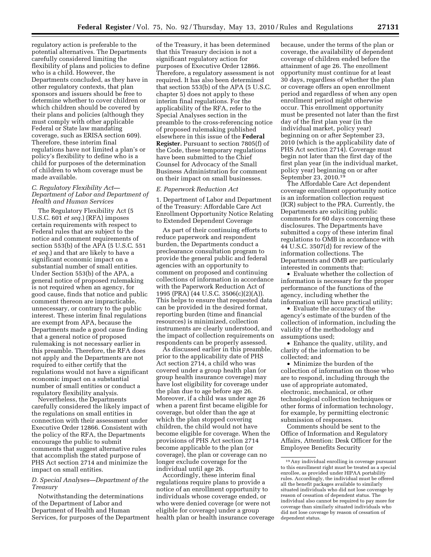regulatory action is preferable to the potential alternatives. The Departments carefully considered limiting the flexibility of plans and policies to define who is a child. However, the Departments concluded, as they have in other regulatory contexts, that plan sponsors and issuers should be free to determine whether to cover children or which children should be covered by their plans and policies (although they must comply with other applicable Federal or State law mandating coverage, such as ERISA section 609). Therefore, these interim final regulations have not limited a plan's or policy's flexibility to define who is a child for purposes of the determination of children to whom coverage must be made available.

### *C. Regulatory Flexibility Act— Department of Labor and Department of Health and Human Services*

The Regulatory Flexibility Act (5 U.S.C. 601 *et seq.*) (RFA) imposes certain requirements with respect to Federal rules that are subject to the notice and comment requirements of section 553(b) of the APA (5 U.S.C. 551 *et seq.*) and that are likely to have a significant economic impact on a substantial number of small entities. Under Section 553(b) of the APA, a general notice of proposed rulemaking is not required when an agency, for good cause, finds that notice and public comment thereon are impracticable, unnecessary, or contrary to the public interest. These interim final regulations are exempt from APA, because the Departments made a good cause finding that a general notice of proposed rulemaking is not necessary earlier in this preamble. Therefore, the RFA does not apply and the Departments are not required to either certify that the regulations would not have a significant economic impact on a substantial number of small entities or conduct a regulatory flexibility analysis.

Nevertheless, the Departments carefully considered the likely impact of the regulations on small entities in connection with their assessment under Executive Order 12866. Consistent with the policy of the RFA, the Departments encourage the public to submit comments that suggest alternative rules that accomplish the stated purpose of PHS Act section 2714 and minimize the impact on small entities.

# *D. Special Analyses—Department of the Treasury*

Notwithstanding the determinations of the Department of Labor and Department of Health and Human Services, for purposes of the Department

of the Treasury, it has been determined that this Treasury decision is not a significant regulatory action for purposes of Executive Order 12866. Therefore, a regulatory assessment is not required. It has also been determined that section 553(b) of the APA (5 U.S.C. chapter 5) does not apply to these interim final regulations. For the applicability of the RFA, refer to the Special Analyses section in the preamble to the cross-referencing notice of proposed rulemaking published elsewhere in this issue of the **Federal Register.** Pursuant to section 7805(f) of the Code, these temporary regulations have been submitted to the Chief Counsel for Advocacy of the Small Business Administration for comment on their impact on small businesses.

# *E. Paperwork Reduction Act*

1. Department of Labor and Department of the Treasury: Affordable Care Act Enrollment Opportunity Notice Relating to Extended Dependent Coverage

As part of their continuing efforts to reduce paperwork and respondent burden, the Departments conduct a preclearance consultation program to provide the general public and federal agencies with an opportunity to comment on proposed and continuing collections of information in accordance with the Paperwork Reduction Act of 1995 (PRA) (44 U.S.C. 3506(c)(2)(A)). This helps to ensure that requested data can be provided in the desired format, reporting burden (time and financial resources) is minimized, collection instruments are clearly understood, and the impact of collection requirements on respondents can be properly assessed.

As discussed earlier in this preamble, prior to the applicability date of PHS Act section 2714, a child who was covered under a group health plan (or group health insurance coverage) may have lost eligibility for coverage under the plan due to age before age 26. Moreover, if a child was under age 26 when a parent first became eligible for coverage, but older than the age at which the plan stopped covering children, the child would not have become eligible for coverage. When the provisions of PHS Act section 2714 become applicable to the plan (or coverage), the plan or coverage can no longer exclude coverage for the individual until age 26.

Accordingly, these interim final regulations require plans to provide a notice of an enrollment opportunity to individuals whose coverage ended, or who were denied coverage (or were not eligible for coverage) under a group health plan or health insurance coverage

because, under the terms of the plan or coverage, the availability of dependent coverage of children ended before the attainment of age 26. The enrollment opportunity must continue for at least 30 days, regardless of whether the plan or coverage offers an open enrollment period and regardless of when any open enrollment period might otherwise occur. This enrollment opportunity must be presented not later than the first day of the first plan year (in the individual market, policy year) beginning on or after September 23, 2010 (which is the applicability date of PHS Act section 2714). Coverage must begin not later than the first day of the first plan year (in the individual market, policy year) beginning on or after September 23, 2010.<sup>19</sup>

The Affordable Care Act dependent coverage enrollment opportunity notice is an information collection request (ICR) subject to the PRA. Currently, the Departments are soliciting public comments for 60 days concerning these disclosures. The Departments have submitted a copy of these interim final regulations to OMB in accordance with 44 U.S.C. 3507(d) for review of the information collections. The Departments and OMB are particularly interested in comments that:

• Evaluate whether the collection of information is necessary for the proper performance of the functions of the agency, including whether the information will have practical utility;

• Evaluate the accuracy of the agency's estimate of the burden of the collection of information, including the validity of the methodology and assumptions used;

• Enhance the quality, utility, and clarity of the information to be collected; and

• Minimize the burden of the collection of information on those who are to respond, including through the use of appropriate automated, electronic, mechanical, or other technological collection techniques or other forms of information technology, for example, by permitting electronic submission of responses.

Comments should be sent to the Office of Information and Regulatory Affairs, Attention: Desk Officer for the Employee Benefits Security

<sup>19</sup>Any individual enrolling in coverage pursuant to this enrollment right must be treated as a special enrollee, as provided under HIPAA portability rules. Accordingly, the individual must be offered all the benefit packages available to similarly situated individuals who did not lose coverage by reason of cessation of dependent status. The individual also cannot be required to pay more for coverage than similarly situated individuals who did not lose coverage by reason of cessation of dependent status.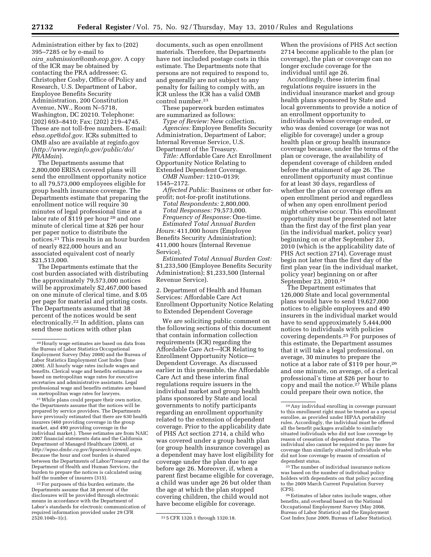Administration either by fax to (202) 395–7285 or by e-mail to *oira*\_*submission@omb.eop.gov.* A copy of the ICR may be obtained by contacting the PRA addressee: G. Christopher Cosby, Office of Policy and Research, U.S. Department of Labor, Employee Benefits Security Administration, 200 Constitution Avenue, NW., Room N–5718, Washington, DC 20210. Telephone: (202) 693–8410; Fax: (202) 219–4745. These are not toll-free numbers. E-mail: *ebsa.opr@dol.gov*. ICRs submitted to OMB also are available at reginfo.gov (*http://www.reginfo.gov/public/do/ PRAMain*).

The Departments assume that 2,800,000 ERISA covered plans will send the enrollment opportunity notice to all 79,573,000 employees eligible for group health insurance coverage. The Departments estimate that preparing the enrollment notice will require 30 minutes of legal professional time at a labor rate of \$119 per hour 20 and one minute of clerical time at \$26 per hour per paper notice to distribute the notices.21 This results in an hour burden of nearly 822,000 hours and an associated equivalent cost of nearly \$21,513,000.

The Departments estimate that the cost burden associated with distributing the approximately 79,573,000 notices will be approximately \$2,467,000 based on one minute of clerical time, and \$.05 per page for material and printing costs. The Departments assumed that 38 percent of the notices would be sent electronically.22 In addition, plans can send these notices with other plan

21While plans could prepare their own notice, the Departments assume that the notices will be prepared by service providers. The Departments have previously estimated that there are 630 health insurers (460 providing coverage in the group market, and 490 providing coverage in the individual market.). These estimates are from NAIC 2007 financial statements data and the California Department of Managed Healthcare (2009), *at http://wpso.dmhc.ca.gov/hpsearch/viewall.aspx.*  Because the hour and cost burden is shared between the Departments of Labor/Treasury and the Department of Health and Human Services, the burden to prepare the notices is calculated using half the number of insurers (315).

22For purposes of this burden estimate, the Departments assume that 38 percent of the disclosures will be provided through electronic means in accordance with the Department of Labor's standards for electronic communication of required information provided under 29 CFR

documents, such as open enrollment materials. Therefore, the Departments have not included postage costs in this estimate. The Departments note that persons are not required to respond to, and generally are not subject to any penalty for failing to comply with, an ICR unless the ICR has a valid OMB control number.23

These paperwork burden estimates are summarized as follows:

*Type of Review:* New collection. *Agencies:* Employee Benefits Security Administration, Department of Labor; Internal Revenue Service, U.S. Department of the Treasury.

*Title:* Affordable Care Act Enrollment Opportunity Notice Relating to Extended Dependent Coverage.

*OMB Number:* 1210–0139;

1545–2172.

*Affected Public:* Business or other forprofit; not-for-profit institutions.

*Total Respondents:* 2,800,000. *Total Responses:* 79,573,000. *Frequency of Response:* One-time. *Estimated Total Annual Burden Hours:* 411,000 hours (Employee Benefits Security Administration); 411,000 hours (Internal Revenue

Service).

*Estimated Total Annual Burden Cost:*  \$1,233,500 (Employee Benefits Security Administration); \$1,233,500 (Internal Revenue Service).

2. Department of Health and Human Services: Affordable Care Act Enrollment Opportunity Notice Relating to Extended Dependent Coverage

We are soliciting public comment on the following sections of this document that contain information collection requirements (ICR) regarding the Affordable Care Act—ICR Relating to Enrollment Opportunity Notice— Dependent Coverage. As discussed earlier in this preamble, the Affordable Care Act and these interim final regulations require issuers in the individual market and group health plans sponsored by State and local governments to notify participants regarding an enrollment opportunity related to the extension of dependent coverage. Prior to the applicability date of PHS Act section 2714, a child who was covered under a group health plan (or group health insurance coverage) as a dependent may have lost eligibility for coverage under the plan due to age before age 26. Moreover, if, when a parent first became eligible for coverage, a child was under age 26 but older than the age at which the plan stopped covering children, the child would not have become eligible for coverage.

When the provisions of PHS Act section 2714 become applicable to the plan (or coverage), the plan or coverage can no longer exclude coverage for the individual until age 26.

Accordingly, these interim final regulations require issuers in the individual insurance market and group health plans sponsored by State and local governments to provide a notice of an enrollment opportunity to individuals whose coverage ended, or who was denied coverage (or was not eligible for coverage) under a group health plan or group health insurance coverage because, under the terms of the plan or coverage, the availability of dependent coverage of children ended before the attainment of age 26. The enrollment opportunity must continue for at least 30 days, regardless of whether the plan or coverage offers an open enrollment period and regardless of when any open enrollment period might otherwise occur. This enrollment opportunity must be presented not later than the first day of the first plan year (in the individual market, policy year) beginning on or after September 23, 2010 (which is the applicability date of PHS Act section 2714). Coverage must begin not later than the first day of the first plan year (in the individual market, policy year) beginning on or after September 23, 2010.24

The Department estimates that 126,000 State and local governmental plans would have to send 19,627,000 notices to eligible employees and 490 insurers in the individual market would have to send approximately 5,444,000 notices to individuals with policies covering dependents.25 For purposes of this estimate, the Department assumes that it will take a legal professional, on average, 30 minutes to prepare the notice at a labor rate of \$119 per hour,26 and one minute, on average, of a clerical professional's time at \$26 per hour to copy and mail the notice.<sup>27</sup> While plans could prepare their own notice, the

<sup>25</sup>The number of individual insurance notices was based on the number of individual policy holders with dependents on that policy according to the 2009 March Current Population Survey (CPS).

26Estimates of labor rates include wages, other benefits, and overhead based on the National Occupational Employment Survey (May 2008, Bureau of Labor Statistics) and the Employment Cost Index June 2009, Bureau of Labor Statistics).

<sup>20</sup>Hourly wage estimates are based on data from the Bureau of Labor Statistics Occupational Employment Survey (May 2008) and the Bureau of Labor Statistics Employment Cost Index (June 2009). All hourly wage rates include wages and benefits. Clerical wage and benefits estimates are based on metropolitan wage rates for executive secretaries and administrative assistants. Legal professional wage and benefits estimates are based on metropolitan wage rates for lawyers.

<sup>&</sup>lt;sup>23</sup> 5 CFR 1320.1 through 1320.18.

<sup>24</sup>Any individual enrolling in coverage pursuant to this enrollment right must be treated as a special enrollee, as provided under HIPAA portability rules. Accordingly, the individual must be offered all the benefit packages available to similarly situated individuals who did not lose coverage by reason of cessation of dependent status. The individual also cannot be required to pay more for coverage than similarly situated individuals who did not lose coverage by reason of cessation of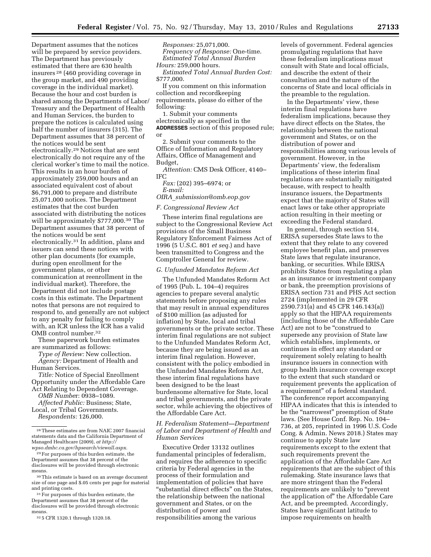Department assumes that the notices will be prepared by service providers. The Department has previously estimated that there are 630 health insurers 28 (460 providing coverage in the group market, and 490 providing coverage in the individual market). Because the hour and cost burden is shared among the Departments of Labor/ Treasury and the Department of Health and Human Services, the burden to prepare the notices is calculated using half the number of insurers (315). The Department assumes that 38 percent of the notices would be sent electronically.29 Notices that are sent electronically do not require any of the clerical worker's time to mail the notice. This results in an hour burden of approximately 259,000 hours and an associated equivalent cost of about \$6,791,000 to prepare and distribute 25,071,000 notices. The Department estimates that the cost burden associated with distributing the notices will be approximately \$777,000.30 The Department assumes that 38 percent of the notices would be sent electronically.31 In addition, plans and issuers can send these notices with other plan documents (for example, during open enrollment for the government plans, or other communication at reenrollment in the individual market). Therefore, the Department did not include postage costs in this estimate. The Department notes that persons are not required to respond to, and generally are not subject to any penalty for failing to comply with, an ICR unless the ICR has a valid OMB control number.32

These paperwork burden estimates are summarized as follows:

*Type of Review:* New collection. *Agency:* Department of Health and Human Services.

*Title:* Notice of Special Enrollment Opportunity under the Affordable Care Act Relating to Dependent Coverage.

*OMB Numbe*r: 0938–1089.

*Affected Public:* Business; State, Local, or Tribal Governments.

*Respondents:* 126,000.

30This estimate is based on an average document size of one page and \$.05 cents per page for material and printing costs.

31For purposes of this burden estimate, the Department assumes that 38 percent of the disclosures will be provided through electronic means.

32 5 CFR 1320.1 through 1320.18.

*Responses:* 25,071,000. *Frequency of Response:* One-time. *Estimated Total Annual Burden Hours:* 259,000 hours.

*Estimated Total Annual Burden Cost:*  \$777,000.

If you comment on this information collection and recordkeeping requirements, please do either of the following:

1. Submit your comments electronically as specified in the **ADDRESSES** section of this proposed rule; or

2. Submit your comments to the Office of Information and Regulatory Affairs, Office of Management and Budget,

*Attention:* CMS Desk Officer, 4140– IFC

*Fax:* (202) 395–6974; or *E-mail:* 

*OIRA*\_*submission@omb.eop.gov* 

*F. Congressional Review Act* 

These interim final regulations are subject to the Congressional Review Act provisions of the Small Business Regulatory Enforcement Fairness Act of 1996 (5 U.S.C. 801 *et seq.*) and have been transmitted to Congress and the Comptroller General for review.

#### *G. Unfunded Mandates Reform Act*

The Unfunded Mandates Reform Act of 1995 (Pub. L. 104–4) requires agencies to prepare several analytic statements before proposing any rules that may result in annual expenditures of \$100 million (as adjusted for inflation) by State, local and tribal governments or the private sector. These interim final regulations are not subject to the Unfunded Mandates Reform Act, because they are being issued as an interim final regulation. However, consistent with the policy embodied in the Unfunded Mandates Reform Act, these interim final regulations have been designed to be the least burdensome alternative for State, local and tribal governments, and the private sector, while achieving the objectives of the Affordable Care Act.

# *H. Federalism Statement—Department of Labor and Department of Health and Human Services*

Executive Order 13132 outlines fundamental principles of federalism, and requires the adherence to specific criteria by Federal agencies in the process of their formulation and implementation of policies that have ''substantial direct effects'' on the States, the relationship between the national government and States, or on the distribution of power and responsibilities among the various

levels of government. Federal agencies promulgating regulations that have these federalism implications must consult with State and local officials, and describe the extent of their consultation and the nature of the concerns of State and local officials in the preamble to the regulation.

In the Departments' view, these interim final regulations have federalism implications, because they have direct effects on the States, the relationship between the national government and States, or on the distribution of power and responsibilities among various levels of government. However, in the Departments' view, the federalism implications of these interim final regulations are substantially mitigated because, with respect to health insurance issuers, the Departments expect that the majority of States will enact laws or take other appropriate action resulting in their meeting or exceeding the Federal standard.

In general, through section 514, ERISA supersedes State laws to the extent that they relate to any covered employee benefit plan, and preserves State laws that regulate insurance, banking, or securities. While ERISA prohibits States from regulating a plan as an insurance or investment company or bank, the preemption provisions of ERISA section 731 and PHS Act section 2724 (implemented in 29 CFR 2590.731(a) and 45 CFR 146.143(a)) apply so that the HIPAA requirements (including those of the Affordable Care Act) are not to be ''construed to supersede any provision of State law which establishes, implements, or continues in effect any standard or requirement solely relating to health insurance issuers in connection with group health insurance coverage except to the extent that such standard or requirement prevents the application of a requirement'' of a federal standard. The conference report accompanying HIPAA indicates that this is intended to be the "narrowest" preemption of State laws. (See House Conf. Rep. No. 104– 736, at 205, reprinted in 1996 U.S. Code Cong. & Admin. News 2018.) States may continue to apply State law requirements except to the extent that such requirements prevent the application of the Affordable Care Act requirements that are the subject of this rulemaking. State insurance laws that are more stringent than the Federal requirements are unlikely to ''prevent the application of'' the Affordable Care Act, and be preempted. Accordingly, States have significant latitude to impose requirements on health

<sup>28</sup>These estimates are from NAIC 2007 financial statements data and the California Department of Managed Healthcare (2009), *at http:// wpso.dmhc.ca.gov/hpsearch/viewall.aspx.* 

<sup>29</sup>For purposes of this burden estimate, the Department assumes that 38 percent of the disclosures will be provided through electronic means.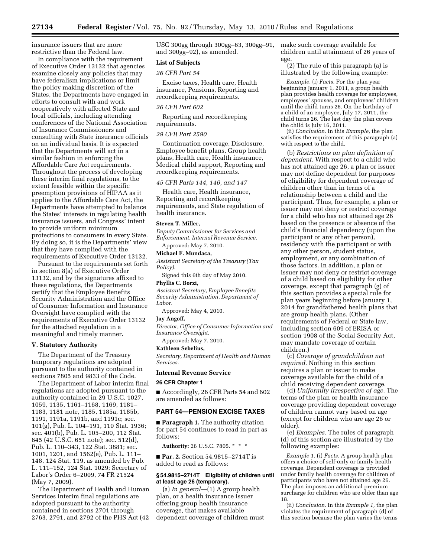insurance issuers that are more restrictive than the Federal law.

In compliance with the requirement of Executive Order 13132 that agencies examine closely any policies that may have federalism implications or limit the policy making discretion of the States, the Departments have engaged in efforts to consult with and work cooperatively with affected State and local officials, including attending conferences of the National Association of Insurance Commissioners and consulting with State insurance officials on an individual basis. It is expected that the Departments will act in a similar fashion in enforcing the Affordable Care Act requirements. Throughout the process of developing these interim final regulations, to the extent feasible within the specific preemption provisions of HIPAA as it applies to the Affordable Care Act, the Departments have attempted to balance the States' interests in regulating health insurance issuers, and Congress' intent to provide uniform minimum protections to consumers in every State. By doing so, it is the Departments' view that they have complied with the requirements of Executive Order 13132.

Pursuant to the requirements set forth in section 8(a) of Executive Order 13132, and by the signatures affixed to these regulations, the Departments certify that the Employee Benefits Security Administration and the Office of Consumer Information and Insurance Oversight have complied with the requirements of Executive Order 13132 for the attached regulation in a meaningful and timely manner.

#### **V. Statutory Authority**

The Department of the Treasury temporary regulations are adopted pursuant to the authority contained in sections 7805 and 9833 of the Code.

The Department of Labor interim final regulations are adopted pursuant to the authority contained in 29 U.S.C. 1027, 1059, 1135, 1161–1168, 1169, 1181– 1183, 1181 note, 1185, 1185a, 1185b, 1191, 1191a, 1191b, and 1191c; sec. 101(g), Pub. L. 104–191, 110 Stat. 1936; sec. 401(b), Pub. L. 105–200, 112 Stat. 645 (42 U.S.C. 651 note); sec. 512(d), Pub. L. 110–343, 122 Stat. 3881; sec. 1001, 1201, and 1562(e), Pub. L. 111– 148, 124 Stat. 119, as amended by Pub. L. 111–152, 124 Stat. 1029; Secretary of Labor's Order 6–2009, 74 FR 21524 (May 7, 2009).

The Department of Health and Human Services interim final regulations are adopted pursuant to the authority contained in sections 2701 through 2763, 2791, and 2792 of the PHS Act (42

USC 300gg through 300gg–63, 300gg–91, and 300gg–92), as amended.

### **List of Subjects**

#### *26 CFR Part 54*

Excise taxes, Health care, Health insurance, Pensions, Reporting and recordkeeping requirements.

#### *26 CFR Part 602*

Reporting and recordkeeping requirements.

#### *29 CFR Part 2590*

Continuation coverage, Disclosure, Employee benefit plans, Group health plans, Health care, Health insurance, Medical child support, Reporting and recordkeeping requirements.

#### *45 CFR Parts 144, 146, and 147*

Health care, Health insurance, Reporting and recordkeeping requirements, and State regulation of health insurance.

#### **Steven T. Miller,**

*Deputy Commissioner for Services and Enforcement, Internal Revenue Service.*  Approved: May 7, 2010.

#### **Michael F. Mundaca,**

*Assistant Secretary of the Treasury (Tax Policy).* 

Signed this 6th day of May 2010.

# **Phyllis C. Borzi,**

*Assistant Secretary, Employee Benefits Security Administration, Department of Labor.* 

Approved: May 4, 2010.

### **Jay Angoff,**

*Director, Office of Consumer Information and Insurance Oversight.* 

Approved: May 7, 2010.

#### **Kathleen Sebelius,**

*Secretary, Department of Health and Human Services.* 

#### **Internal Revenue Service**

#### **26 CFR Chapter 1**

■ Accordingly, 26 CFR Parts 54 and 602 are amended as follows:

# **PART 54—PENSION EXCISE TAXES**

■ **Paragraph 1.** The authority citation for part 54 continues to read in part as follows:

**Authority:** 26 U.S.C. 7805. \* \* \*

■ **Par. 2.** Section 54.9815–2714T is added to read as follows:

### **§ 54.9815–2714T Eligibility of children until at least age 26 (temporary).**

(a) *In general*—(1) A group health plan, or a health insurance issuer offering group health insurance coverage, that makes available dependent coverage of children must make such coverage available for children until attainment of 26 years of age.

(2) The rule of this paragraph (a) is illustrated by the following example:

*Example.* (i) *Facts.* For the plan year beginning January 1, 2011, a group health plan provides health coverage for employees, employees' spouses, and employees' children until the child turns 26. On the birthday of a child of an employee, July 17, 2011, the child turns 26. The last day the plan covers the child is July 16, 2011.

(ii) *Conclusion.* In this *Example,* the plan satisfies the requirement of this paragraph (a) with respect to the child.

(b) *Restrictions on plan definition of dependent.* With respect to a child who has not attained age 26, a plan or issuer may not define dependent for purposes of eligibility for dependent coverage of children other than in terms of a relationship between a child and the participant. Thus, for example, a plan or issuer may not deny or restrict coverage for a child who has not attained age 26 based on the presence or absence of the child's financial dependency (upon the participant or any other person), residency with the participant or with any other person, student status, employment, or any combination of those factors. In addition, a plan or issuer may not deny or restrict coverage of a child based on eligibility for other coverage, except that paragraph (g) of this section provides a special rule for plan years beginning before January 1, 2014 for grandfathered health plans that are group health plans. (Other requirements of Federal or State law, including section 609 of ERISA or section 1908 of the Social Security Act, may mandate coverage of certain children.)

(c) *Coverage of grandchildren not required.* Nothing in this section requires a plan or issuer to make coverage available for the child of a child receiving dependent coverage.

(d) *Uniformity irrespective of age.* The terms of the plan or health insurance coverage providing dependent coverage of children cannot vary based on age (except for children who are age 26 or older).

(e) *Examples.* The rules of paragraph (d) of this section are illustrated by the following examples:

*Example 1.* (i) *Facts.* A group health plan offers a choice of self-only or family health coverage. Dependent coverage is provided under family health coverage for children of participants who have not attained age 26. The plan imposes an additional premium surcharge for children who are older than age 18.

(ii) *Conclusion.* In this *Example 1,* the plan violates the requirement of paragraph (d) of this section because the plan varies the terms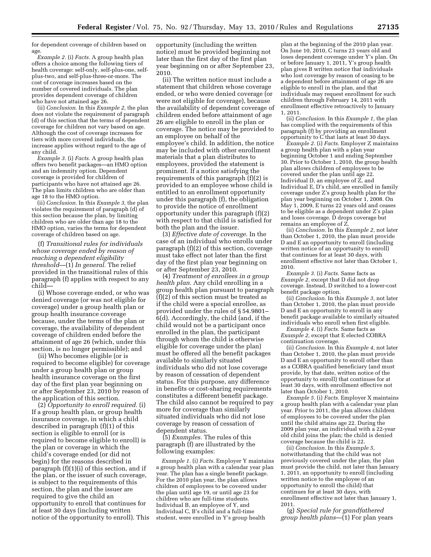for dependent coverage of children based on age.

*Example 2.* (i) *Facts.* A group health plan offers a choice among the following tiers of health coverage: self-only, self-plus-one, selfplus-two, and self-plus-three-or-more. The cost of coverage increases based on the number of covered individuals. The plan provides dependent coverage of children who have not attained age 26.

(ii) *Conclusion.* In this *Example 2,* the plan does not violate the requirement of paragraph (d) of this section that the terms of dependent coverage for children not vary based on age. Although the cost of coverage increases for tiers with more covered individuals, the increase applies without regard to the age of any child.

*Example 3.* (i) *Facts.* A group health plan offers two benefit packages—an HMO option and an indemnity option. Dependent coverage is provided for children of participants who have not attained age 26. The plan limits children who are older than age 18 to the HMO option.

(ii) *Conclusion.* In this *Example 3,* the plan violates the requirement of paragraph (d) of this section because the plan, by limiting children who are older than age 18 to the HMO option, varies the terms for dependent coverage of children based on age.

(f) *Transitional rules for individuals whose coverage ended by reason of reaching a dependent eligibility threshold*—(1) *In general.* The relief provided in the transitional rules of this paragraph (f) applies with respect to any child—

(i) Whose coverage ended, or who was denied coverage (or was not eligible for coverage) under a group health plan or group health insurance coverage because, under the terms of the plan or coverage, the availability of dependent coverage of children ended before the attainment of age 26 (which, under this section, is no longer permissible); and

(ii) Who becomes eligible (or is required to become eligible) for coverage under a group health plan or group health insurance coverage on the first day of the first plan year beginning on or after September 23, 2010 by reason of the application of this section.

(2) *Opportunity to enroll required.* (i) If a group health plan, or group health insurance coverage, in which a child described in paragraph (f)(1) of this section is eligible to enroll (or is required to become eligible to enroll) is the plan or coverage in which the child's coverage ended (or did not begin) for the reasons described in paragraph (f)(1)(i) of this section, and if the plan, or the issuer of such coverage, is subject to the requirements of this section, the plan and the issuer are required to give the child an opportunity to enroll that continues for at least 30 days (including written notice of the opportunity to enroll). This opportunity (including the written notice) must be provided beginning not later than the first day of the first plan year beginning on or after September 23, 2010.

(ii) The written notice must include a statement that children whose coverage ended, or who were denied coverage (or were not eligible for coverage), because the availability of dependent coverage of children ended before attainment of age 26 are eligible to enroll in the plan or coverage. The notice may be provided to an employee on behalf of the employee's child. In addition, the notice may be included with other enrollment materials that a plan distributes to employees, provided the statement is prominent. If a notice satisfying the requirements of this paragraph (f)(2) is provided to an employee whose child is entitled to an enrollment opportunity under this paragraph (f), the obligation to provide the notice of enrollment opportunity under this paragraph (f)(2) with respect to that child is satisfied for both the plan and the issuer.

(3) *Effective date of coverage.* In the case of an individual who enrolls under paragraph (f)(2) of this section, coverage must take effect not later than the first day of the first plan year beginning on or after September 23, 2010.

(4) *Treatment of enrollees in a group health plan.* Any child enrolling in a group health plan pursuant to paragraph (f)(2) of this section must be treated as if the child were a special enrollee, as provided under the rules of § 54.9801– 6(d). Accordingly, the child (and, if the child would not be a participant once enrolled in the plan, the participant through whom the child is otherwise eligible for coverage under the plan) must be offered all the benefit packages available to similarly situated individuals who did not lose coverage by reason of cessation of dependent status. For this purpose, any difference in benefits or cost-sharing requirements constitutes a different benefit package. The child also cannot be required to pay more for coverage than similarly situated individuals who did not lose coverage by reason of cessation of dependent status.

(5) *Examples.* The rules of this paragraph (f) are illustrated by the following examples:

*Example 1.* (i) *Facts.* Employer Y maintains a group health plan with a calendar year plan year. The plan has a single benefit package. For the 2010 plan year, the plan allows children of employees to be covered under the plan until age 19, or until age 23 for children who are full-time students. Individual B, an employee of Y, and Individual C, B's child and a full-time student, were enrolled in Y's group health

plan at the beginning of the 2010 plan year. On June 10, 2010, C turns 23 years old and loses dependent coverage under Y's plan. On or before January 1, 2011, Y's group health plan gives B written notice that individuals who lost coverage by reason of ceasing to be a dependent before attainment of age 26 are eligible to enroll in the plan, and that individuals may request enrollment for such children through February 14, 2011 with enrollment effective retroactively to January 1, 2011.

(ii) *Conclusion.* In this *Example 1,* the plan has complied with the requirements of this paragraph (f) by providing an enrollment opportunity to C that lasts at least 30 days.

*Example 2.* (i) *Facts.* Employer Z maintains a group health plan with a plan year beginning October 1 and ending September 30. Prior to October 1, 2010, the group health plan allows children of employees to be covered under the plan until age 22. Individual D, an employee of Z, and Individual E, D's child, are enrolled in family coverage under Z's group health plan for the plan year beginning on October 1, 2008. On May 1, 2009, E turns 22 years old and ceases to be eligible as a dependent under Z's plan and loses coverage. D drops coverage but remains an employee of Z.

(ii) *Conclusion.* In this *Example 2,* not later than October 1, 2010, the plan must provide D and E an opportunity to enroll (including written notice of an opportunity to enroll) that continues for at least 30 days, with enrollment effective not later than October 1, 2010.

*Example 3.* (i) *Facts.* Same facts as *Example 2,* except that D did not drop coverage. Instead, D switched to a lower-cost benefit package option.

(ii) *Conclusion.* In this *Example 3,* not later than October 1, 2010, the plan must provide D and E an opportunity to enroll in any benefit package available to similarly situated individuals who enroll when first eligible.

*Example 4.* (i) *Facts.* Same facts as *Example 2,* except that E elected COBRA continuation coverage.

(ii) *Conclusion.* In this *Example 4,* not later than October 1, 2010, the plan must provide D and E an opportunity to enroll other than as a COBRA qualified beneficiary (and must provide, by that date, written notice of the opportunity to enroll) that continues for at least 30 days, with enrollment effective not later than October 1, 2010.

*Example 5.* (i) *Facts.* Employer X maintains a group health plan with a calendar year plan year. Prior to 2011, the plan allows children of employees to be covered under the plan until the child attains age 22. During the 2009 plan year, an individual with a 22-year old child joins the plan; the child is denied coverage because the child is 22.

(ii) *Conclusion.* In this *Example 5,*  notwithstanding that the child was not previously covered under the plan, the plan must provide the child, not later than January 1, 2011, an opportunity to enroll (including written notice to the employee of an opportunity to enroll the child) that continues for at least 30 days, with enrollment effective not later than January 1, 2011.

(g) *Special rule for grandfathered group health plans*—(1) For plan years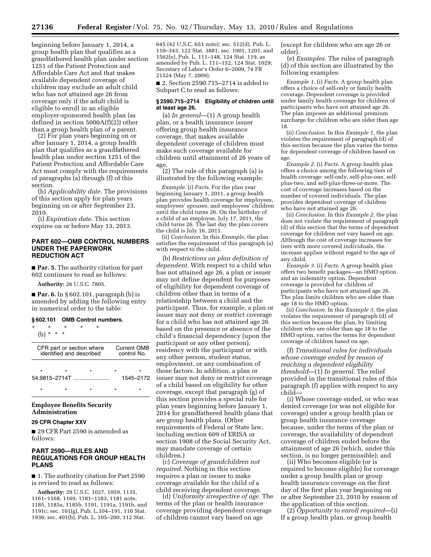beginning before January 1, 2014, a group health plan that qualifies as a grandfathered health plan under section 1251 of the Patient Protection and Affordable Care Act and that makes available dependent coverage of children may exclude an adult child who has not attained age 26 from coverage only if the adult child is eligible to enroll in an eligible employer-sponsored health plan (as defined in section 5000A(f)(2)) other than a group health plan of a parent.

(2) For plan years beginning on or after January 1, 2014, a group health plan that qualifies as a grandfathered health plan under section 1251 of the Patient Protection and Affordable Care Act must comply with the requirements of paragraphs (a) through (f) of this section.

(h) *Applicability date.* The provisions of this section apply for plan years beginning on or after September 23, 2010.

(i) *Expiration date.* This section expires on or before May 13, 2013.

# **PART 602—OMB CONTROL NUMBERS UNDER THE PAPERWORK REDUCTION ACT**

■ **Par. 5.** The authority citation for part 602 continues to read as follows:

**Authority:** 26 U.S.C. 7805.

■ **Par. 6.** In § 602.101, paragraph (b) is amended by adding the following entry in numerical order to the table:

# **§ 602.101 OMB Control numbers.**

| ÷<br>÷                                                                              | ÷<br>$\star$<br>$\star$ |         |  |                |  |  |  |
|-------------------------------------------------------------------------------------|-------------------------|---------|--|----------------|--|--|--|
| Current OMB<br>CFR part or section where<br>identified and described<br>control No. |                         |         |  |                |  |  |  |
| $\star$<br>54.9815-2714T                                                            | $\star$                 | $\star$ |  | ÷<br>1545-2172 |  |  |  |
|                                                                                     |                         |         |  |                |  |  |  |

# **Employee Benefits Security Administration**

# **29 CFR Chapter XXV**

■ 29 CFR Part 2590 is amended as follows:

# **PART 2590—RULES AND REGULATIONS FOR GROUP HEALTH PLANS**

■ 1. The authority citation for Part 2590 is revised to read as follows:

**Authority:** 29 U.S.C. 1027, 1059, 1135, 1161–1168, 1169, 1181–1183, 1181 note, 1185, 1185a, 1185b, 1191, 1191a, 1191b, and 1191c; sec. 101(g), Pub. L.104–191, 110 Stat. 1936; sec. 401(b), Pub. L. 105–200, 112 Stat.

645 (42 U.S.C. 651 note); sec. 512(d), Pub. L. 110–343, 122 Stat. 3881; sec. 1001, 1201, and 1562(e), Pub. L. 111–148, 124 Stat. 119, as amended by Pub. L. 111–152, 124 Stat. 1029; Secretary of Labor's Order 6–2009, 74 FR 21524 (May 7, 2009).

■ 2. Section 2590.715–2714 is added to Subpart C to read as follows:

#### **§ 2590.715–2714 Eligibility of children until at least age 26.**

(a) *In general*—(1) A group health plan, or a health insurance issuer offering group health insurance coverage, that makes available dependent coverage of children must make such coverage available for children until attainment of 26 years of age.

(2) The rule of this paragraph (a) is illustrated by the following example:

*Example.* (i) *Facts.* For the plan year beginning January 1, 2011, a group health plan provides health coverage for employees, employees' spouses, and employees' children until the child turns 26. On the birthday of a child of an employee, July 17, 2011, the child turns 26. The last day the plan covers the child is July 16, 2011.

(ii) *Conclusion.* In this *Example,* the plan satisfies the requirement of this paragraph (a) with respect to the child.

(b) *Restrictions on plan definition of dependent.* With respect to a child who has not attained age 26, a plan or issuer may not define dependent for purposes of eligibility for dependent coverage of children other than in terms of a relationship between a child and the participant. Thus, for example, a plan or issuer may not deny or restrict coverage for a child who has not attained age 26 based on the presence or absence of the child's financial dependency (upon the participant or any other person), residency with the participant or with any other person, student status, employment, or any combination of those factors. In addition, a plan or issuer may not deny or restrict coverage of a child based on eligibility for other coverage, except that paragraph (g) of this section provides a special rule for plan years beginning before January 1, 2014 for grandfathered health plans that are group health plans. (Other requirements of Federal or State law, including section 609 of ERISA or section 1908 of the Social Security Act, may mandate coverage of certain children.)

(c) *Coverage of grandchildren not required.* Nothing in this section requires a plan or issuer to make coverage available for the child of a child receiving dependent coverage.

(d) *Uniformity irrespective of age.* The terms of the plan or health insurance coverage providing dependent coverage of children cannot vary based on age

(except for children who are age 26 or older).

(e) *Examples.* The rules of paragraph (d) of this section are illustrated by the following examples:

*Example 1.* (i) *Facts.* A group health plan offers a choice of self-only or family health coverage. Dependent coverage is provided under family health coverage for children of participants who have not attained age 26. The plan imposes an additional premium surcharge for children who are older than age 18.

(ii) *Conclusion.* In this *Example 1,* the plan violates the requirement of paragraph (d) of this section because the plan varies the terms for dependent coverage of children based on age.

*Example 2.* (i) *Facts.* A group health plan offers a choice among the following tiers of health coverage: self-only, self-plus-one, selfplus-two, and self-plus-three-or-more. The cost of coverage increases based on the number of covered individuals. The plan provides dependent coverage of children who have not attained age 26.

(ii) *Conclusion.* In this *Example 2,* the plan does not violate the requirement of paragraph (d) of this section that the terms of dependent coverage for children not vary based on age. Although the cost of coverage increases for tiers with more covered individuals, the increase applies without regard to the age of any child.

*Example 3.* (i) *Facts.* A group health plan offers two benefit packages—an HMO option and an indemnity option. Dependent coverage is provided for children of participants who have not attained age 26. The plan limits children who are older than age 18 to the HMO option.

(ii) *Conclusion.* In this *Example 3,* the plan violates the requirement of paragraph (d) of this section because the plan, by limiting children who are older than age 18 to the HMO option, varies the terms for dependent coverage of children based on age.

(f) *Transitional rules for individuals whose coverage ended by reason of reaching a dependent eligibility threshold*—(1) *In general.* The relief provided in the transitional rules of this paragraph (f) applies with respect to any child—

(i) Whose coverage ended, or who was denied coverage (or was not eligible for coverage) under a group health plan or group health insurance coverage because, under the terms of the plan or coverage, the availability of dependent coverage of children ended before the attainment of age 26 (which, under this section, is no longer permissible); and

(ii) Who becomes eligible (or is required to become eligible) for coverage under a group health plan or group health insurance coverage on the first day of the first plan year beginning on or after September 23, 2010 by reason of the application of this section.

(2) *Opportunity to enroll required*—(i) If a group health plan, or group health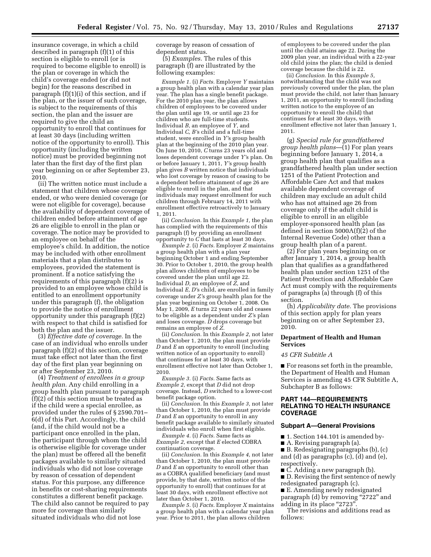insurance coverage, in which a child described in paragraph (f)(1) of this section is eligible to enroll (or is required to become eligible to enroll) is the plan or coverage in which the child's coverage ended (or did not begin) for the reasons described in paragraph (f)(1)(i) of this section, and if the plan, or the issuer of such coverage, is subject to the requirements of this section, the plan and the issuer are required to give the child an opportunity to enroll that continues for at least 30 days (including written notice of the opportunity to enroll). This opportunity (including the written notice) must be provided beginning not later than the first day of the first plan year beginning on or after September 23, 2010.

(ii) The written notice must include a statement that children whose coverage ended, or who were denied coverage (or were not eligible for coverage), because the availability of dependent coverage of children ended before attainment of age 26 are eligible to enroll in the plan or coverage. The notice may be provided to an employee on behalf of the employee's child. In addition, the notice may be included with other enrollment materials that a plan distributes to employees, provided the statement is prominent. If a notice satisfying the requirements of this paragraph (f)(2) is provided to an employee whose child is entitled to an enrollment opportunity under this paragraph (f), the obligation to provide the notice of enrollment opportunity under this paragraph (f)(2) with respect to that child is satisfied for both the plan and the issuer.

(3) *Effective date of coverage.* In the case of an individual who enrolls under paragraph (f)(2) of this section, coverage must take effect not later than the first day of the first plan year beginning on or after September 23, 2010.

(4) *Treatment of enrollees in a group health plan.* Any child enrolling in a group health plan pursuant to paragraph (f)(2) of this section must be treated as if the child were a special enrollee, as provided under the rules of § 2590.701– 6(d) of this Part. Accordingly, the child (and, if the child would not be a participant once enrolled in the plan, the participant through whom the child is otherwise eligible for coverage under the plan) must be offered all the benefit packages available to similarly situated individuals who did not lose coverage by reason of cessation of dependent status. For this purpose, any difference in benefits or cost-sharing requirements constitutes a different benefit package. The child also cannot be required to pay more for coverage than similarly situated individuals who did not lose

coverage by reason of cessation of dependent status.

(5) *Examples.* The rules of this paragraph (f) are illustrated by the following examples:

*Example 1.* (i) *Facts.* Employer *Y* maintains a group health plan with a calendar year plan year. The plan has a single benefit package. For the 2010 plan year, the plan allows children of employees to be covered under the plan until age 19, or until age 23 for children who are full-time students. Individual *B,* an employee of *Y,* and Individual *C, B'*s child and a full-time student, were enrolled in *Y'*s group health plan at the beginning of the 2010 plan year. On June 10, 2010, *C* turns 23 years old and loses dependent coverage under *Y'*s plan. On or before January 1, 2011, *Y'*s group health plan gives *B* written notice that individuals who lost coverage by reason of ceasing to be a dependent before attainment of age 26 are eligible to enroll in the plan, and that individuals may request enrollment for such children through February 14, 2011 with enrollment effective retroactively to January 1, 2011.

(ii) *Conclusion.* In this *Example 1,* the plan has complied with the requirements of this paragraph (f) by providing an enrollment opportunity to  $\overrightarrow{C}$  that lasts at least 30 days.

*Example 2.* (i) *Facts.* Employer *Z* maintains a group health plan with a plan year beginning October 1 and ending September 30. Prior to October 1, 2010, the group health plan allows children of employees to be covered under the plan until age 22. Individual *D,* an employee of *Z,* and Individual *E, D'*s child, are enrolled in family coverage under *Z'*s group health plan for the plan year beginning on October 1, 2008. On May 1, 2009, *E* turns 22 years old and ceases to be eligible as a dependent under *Z'*s plan and loses coverage. *D* drops coverage but remains an employee of *Z.* 

(ii) *Conclusion.* In this *Example 2,* not later than October 1, 2010, the plan must provide *D* and *E* an opportunity to enroll (including written notice of an opportunity to enroll) that continues for at least 30 days, with enrollment effective not later than October 1, 2010.

*Example 3.* (i) *Facts.* Same facts as *Example 2,* except that *D* did not drop coverage. Instead, *D* switched to a lower-cost benefit package option.

(ii) *Conclusion.* In this *Example 3,* not later than October 1, 2010, the plan must provide *D* and *E* an opportunity to enroll in any benefit package available to similarly situated individuals who enroll when first eligible.

*Example 4.* (i) *Facts.* Same facts as *Example 2,* except that *E* elected COBRA continuation coverage.

(ii) *Conclusion.* In this *Example 4,* not later than October 1, 2010, the plan must provide *D* and *E* an opportunity to enroll other than as a COBRA qualified beneficiary (and must provide, by that date, written notice of the opportunity to enroll) that continues for at least 30 days, with enrollment effective not later than October 1, 2010.

*Example 5.* (i) *Facts.* Employer *X* maintains a group health plan with a calendar year plan year. Prior to 2011, the plan allows children

of employees to be covered under the plan until the child attains age 22. During the 2009 plan year, an individual with a 22-year old child joins the plan; the child is denied coverage because the child is 22.

(ii) *Conclusion.* In this *Example 5,*  notwithstanding that the child was not previously covered under the plan, the plan must provide the child, not later than January 1, 2011, an opportunity to enroll (including written notice to the employee of an opportunity to enroll the child) that continues for at least 30 days, with enrollment effective not later than January 1, 2011.

(g) *Special rule for grandfathered group health plans*—(1) For plan years beginning before January 1, 2014, a group health plan that qualifies as a grandfathered health plan under section 1251 of the Patient Protection and Affordable Care Act and that makes available dependent coverage of children may exclude an adult child who has not attained age 26 from coverage only if the adult child is eligible to enroll in an eligible employer-sponsored health plan (as defined in section 5000A(f)(2) of the Internal Revenue Code) other than a group health plan of a parent.

(2) For plan years beginning on or after January 1, 2014, a group health plan that qualifies as a grandfathered health plan under section 1251 of the Patient Protection and Affordable Care Act must comply with the requirements of paragraphs (a) through (f) of this section.

(h) *Applicability date.* The provisions of this section apply for plan years beginning on or after September 23, 2010.

#### **Department of Health and Human Services**

# *45 CFR Subtitle A*

■ For reasons set forth in the preamble, the Department of Health and Human Services is amending 45 CFR Subtitle A, Subchapter B as follows:

# **PART 144—REQUIREMENTS RELATING TO HEALTH INSURANCE COVERAGE**

# **Subpart A—General Provisions**

- 1. Section 144.101 is amended by-
- A. Revising paragraph (a).

■ B. Redesignating paragraphs (b), (c) and (d) as paragraphs (c), (d) and (e), respectively.

- C. Adding a new paragraph (b).
- D. Revising the first sentence of newly redesignated paragraph (c).
- E. Amending newly redesignated

paragraph (d) by removing "2722" and adding in its place "2723".

The revisions and additions read as follows: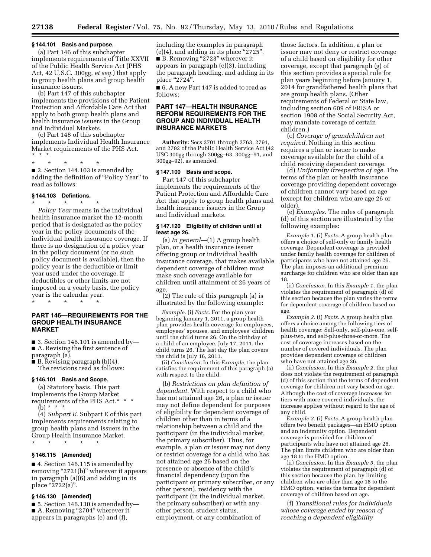# **§ 144.101 Basis and purpose.**

(a) Part 146 of this subchapter implements requirements of Title XXVII of the Public Health Service Act (PHS Act, 42 U.S.C. 300gg, *et seq.*) that apply to group health plans and group health insurance issuers.

(b) Part 147 of this subchapter implements the provisions of the Patient Protection and Affordable Care Act that apply to both group health plans and health insurance issuers in the Group and Individual Markets.

(c) Part 148 of this subchapter implements Individual Health Insurance Market requirements of the PHS Act. \* \* \*

\* \* \* \* \*

■ 2. Section 144.103 is amended by adding the definition of ''Policy Year'' to read as follows:

#### **§ 144.103 Defintions.**

\* \* \* \* \*

*Policy Year* means in the individual health insurance market the 12-month period that is designated as the policy year in the policy documents of the individual health insurance coverage. If there is no designation of a policy year in the policy document (or no such policy document is available), then the policy year is the deductible or limit year used under the coverage. If deductibles or other limits are not imposed on a yearly basis, the policy year is the calendar year.

\* \* \* \* \*

# **PART 146—REQUIREMENTS FOR THE GROUP HEALTH INSURANCE MARKET**

 $\blacksquare$  3. Section 146.101 is amended by— ■ A. Revising the first sentence of paragraph (a).

 $\blacksquare$  B. Revising paragraph (b)(4). The revisions read as follows:

#### **§ 146.101 Basis and Scope.**

(a) Statutory basis. This part implements the Group Market requirements of the PHS Act.\* \* \* (b) \* \* \*

(4) *Subpart E.* Subpart E of this part implements requirements relating to group health plans and issuers in the Group Health Insurance Market.

\* \* \* \* \*

#### **§ 146.115 [Amended]**

■ 4. Section 146.115 is amended by removing "2721(b)" wherever it appears in paragraph (a)(6) and adding in its place "2722(a)".

# **§ 146.130 [Amended]**

■ 5. Section 146.130 is amended by— ■ A. Removing "2704" wherever it appears in paragraphs (e) and (f),

including the examples in paragraph  $(e)(4)$ , and adding in its place "2725". ■ B. Removing "2723" wherever it appears in paragraph (e)(3), including the paragraph heading, and adding in its place "2724".

■ 6. A new Part 147 is added to read as follows:

# **PART 147—HEALTH INSURANCE REFORM REQUIREMENTS FOR THE GROUP AND INDIVIDUAL HEALTH INSURANCE MARKETS**

**Authority:** Secs 2701 through 2763, 2791, and 2792 of the Public Health Service Act (42 USC 300gg through 300gg–63, 300gg–91, and 300gg–92), as amended.

#### **§ 147.100 Basis and scope.**

Part 147 of this subchapter implements the requirements of the Patient Protection and Affordable Care Act that apply to group health plans and health insurance issuers in the Group and Individual markets.

## **§ 147.120 Eligibility of children until at least age 26.**

(a) *In general*—(1) A group health plan, or a health insurance issuer offering group or individual health insurance coverage, that makes available dependent coverage of children must make such coverage available for children until attainment of 26 years of age.

(2) The rule of this paragraph (a) is illustrated by the following example:

*Example.* (i) *Facts.* For the plan year beginning January 1, 2011, a group health plan provides health coverage for employees, employees' spouses, and employees' children until the child turns 26. On the birthday of a child of an employee, July 17, 2011, the child turns 26. The last day the plan covers the child is July 16, 2011.

(ii) *Conclusion.* In this *Example,* the plan satisfies the requirement of this paragraph (a) with respect to the child.

(b) *Restrictions on plan definition of dependent.* With respect to a child who has not attained age 26, a plan or issuer may not define dependent for purposes of eligibility for dependent coverage of children other than in terms of a relationship between a child and the participant (in the individual market, the primary subscriber). Thus, for example, a plan or issuer may not deny or restrict coverage for a child who has not attained age 26 based on the presence or absence of the child's financial dependency (upon the participant or primary subscriber, or any other person), residency with the participant (in the individual market, the primary subscriber) or with any other person, student status, employment, or any combination of

those factors. In addition, a plan or issuer may not deny or restrict coverage of a child based on eligibility for other coverage, except that paragraph (g) of this section provides a special rule for plan years beginning before January 1, 2014 for grandfathered health plans that are group health plans. (Other requirements of Federal or State law, including section 609 of ERISA or section 1908 of the Social Security Act, may mandate coverage of certain children.)

(c) *Coverage of grandchildren not required.* Nothing in this section requires a plan or issuer to make coverage available for the child of a child receiving dependent coverage.

(d) *Uniformity irrespective of age.* The terms of the plan or health insurance coverage providing dependent coverage of children cannot vary based on age (except for children who are age 26 or older).

(e) *Examples.* The rules of paragraph (d) of this section are illustrated by the following examples:

*Example 1.* (i) *Facts.* A group health plan offers a choice of self-only or family health coverage. Dependent coverage is provided under family health coverage for children of participants who have not attained age 26. The plan imposes an additional premium surcharge for children who are older than age 18.

(ii) *Conclusion.* In this *Example 1,* the plan violates the requirement of paragraph (d) of this section because the plan varies the terms for dependent coverage of children based on age.

*Example 2.* (i) *Facts.* A group health plan offers a choice among the following tiers of health coverage: Self-only, self-plus-one, selfplus-two, and self-plus-three-or-more. The cost of coverage increases based on the number of covered individuals. The plan provides dependent coverage of children who have not attained age 26.

(ii) *Conclusion.* In this *Example 2,* the plan does not violate the requirement of paragraph (d) of this section that the terms of dependent coverage for children not vary based on age. Although the cost of coverage increases for tiers with more covered individuals, the increase applies without regard to the age of any child.

*Example 3.* (i) *Facts.* A group health plan offers two benefit packages—an HMO option and an indemnity option. Dependent coverage is provided for children of participants who have not attained age 26. The plan limits children who are older than age 18 to the HMO option.

(ii) *Conclusion.* In this *Example 3,* the plan violates the requirement of paragraph (d) of this section because the plan, by limiting children who are older than age 18 to the HMO option, varies the terms for dependent coverage of children based on age.

(f) *Transitional rules for individuals whose coverage ended by reason of reaching a dependent eligibility*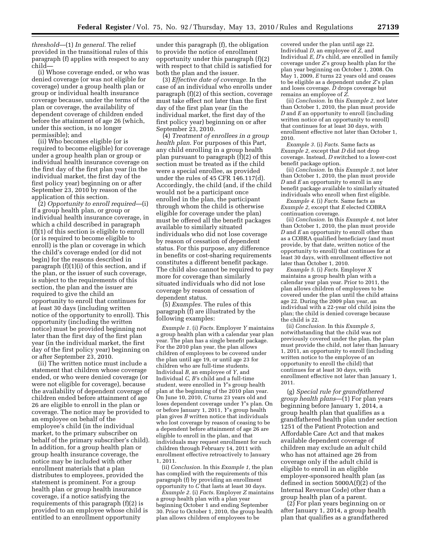*threshold*—(1) *In general.* The relief provided in the transitional rules of this paragraph (f) applies with respect to any child—

(i) Whose coverage ended, or who was denied coverage (or was not eligible for coverage) under a group health plan or group or individual health insurance coverage because, under the terms of the plan or coverage, the availability of dependent coverage of children ended before the attainment of age 26 (which, under this section, is no longer permissible); and

(ii) Who becomes eligible (or is required to become eligible) for coverage under a group health plan or group or individual health insurance coverage on the first day of the first plan year (in the individual market, the first day of the first policy year) beginning on or after September 23, 2010 by reason of the application of this section.

(2) *Opportunity to enroll required*—(i) If a group health plan, or group or individual health insurance coverage, in which a child described in paragraph (f)(1) of this section is eligible to enroll (or is required to become eligible to enroll) is the plan or coverage in which the child's coverage ended (or did not begin) for the reasons described in paragraph (f)(1)(i) of this section, and if the plan, or the issuer of such coverage, is subject to the requirements of this section, the plan and the issuer are required to give the child an opportunity to enroll that continues for at least 30 days (including written notice of the opportunity to enroll). This opportunity (including the written notice) must be provided beginning not later than the first day of the first plan year (in the individual market, the first day of the first policy year) beginning on or after September 23, 2010.

(ii) The written notice must include a statement that children whose coverage ended, or who were denied coverage (or were not eligible for coverage), because the availability of dependent coverage of children ended before attainment of age 26 are eligible to enroll in the plan or coverage. The notice may be provided to an employee on behalf of the employee's child (in the individual market, to the primary subscriber on behalf of the primary subscriber's child). In addition, for a group health plan or group health insurance coverage, the notice may be included with other enrollment materials that a plan distributes to employees, provided the statement is prominent. For a group health plan or group health insurance coverage, if a notice satisfying the requirements of this paragraph (f)(2) is provided to an employee whose child is entitled to an enrollment opportunity

under this paragraph (f), the obligation to provide the notice of enrollment opportunity under this paragraph (f)(2) with respect to that child is satisfied for both the plan and the issuer.

(3) *Effective date of coverage.* In the case of an individual who enrolls under paragraph (f)(2) of this section, coverage must take effect not later than the first day of the first plan year (in the individual market, the first day of the first policy year) beginning on or after September 23, 2010.

(4) *Treatment of enrollees in a group health plan.* For purposes of this Part, any child enrolling in a group health plan pursuant to paragraph (f)(2) of this section must be treated as if the child were a special enrollee, as provided under the rules of 45 CFR 146.117(d). Accordingly, the child (and, if the child would not be a participant once enrolled in the plan, the participant through whom the child is otherwise eligible for coverage under the plan) must be offered all the benefit packages available to similarly situated individuals who did not lose coverage by reason of cessation of dependent status. For this purpose, any difference in benefits or cost-sharing requirements constitutes a different benefit package. The child also cannot be required to pay more for coverage than similarly situated individuals who did not lose coverage by reason of cessation of dependent status.

(5) *Examples.* The rules of this paragraph (f) are illustrated by the following examples:

*Example 1.* (i) *Facts.* Employer *Y* maintains a group health plan with a calendar year plan year. The plan has a single benefit package. For the 2010 plan year, the plan allows children of employees to be covered under the plan until age 19, or until age 23 for children who are full-time students. Individual *B,* an employee of *Y,* and Individual *C, B'*s child and a full-time student, were enrolled in *Y*'s group health plan at the beginning of the 2010 plan year. On June 10, 2010, *C* turns 23 years old and loses dependent coverage under *Y*'s plan. On or before January 1, 2011, *Y*'s group health plan gives *B* written notice that individuals who lost coverage by reason of ceasing to be a dependent before attainment of age 26 are eligible to enroll in the plan, and that individuals may request enrollment for such children through February 14, 2011 with enrollment effective retroactively to January 1, 2011.

(ii) *Conclusion.* In this *Example 1,* the plan has complied with the requirements of this paragraph (f) by providing an enrollment opportunity to  $\tilde{C}$  that lasts at least 30 days.

*Example 2.* (i) *Facts.* Employer *Z* maintains a group health plan with a plan year beginning October 1 and ending September 30. Prior to October 1, 2010, the group health plan allows children of employees to be

covered under the plan until age 22. Individual *D,* an employee of *Z,* and Individual *E, D*'s child, are enrolled in family coverage under *Z*'s group health plan for the plan year beginning on October 1, 2008. On May 1, 2009, *E* turns 22 years old and ceases to be eligible as a dependent under *Z*'s plan and loses coverage. *D* drops coverage but remains an employee of *Z.* 

(ii) *Conclusion.* In this *Example 2,* not later than October 1, 2010, the plan must provide *D* and *E* an opportunity to enroll (including written notice of an opportunity to enroll) that continues for at least 30 days, with enrollment effective not later than October 1, 2010.

*Example 3.* (i) *Facts.* Same facts as *Example 2,* except that *D* did not drop coverage. Instead, *D* switched to a lower-cost benefit package option.

(ii) *Conclusion.* In this *Example 3,* not later than October 1, 2010, the plan must provide *D* and *E* an opportunity to enroll in any benefit package available to similarly situated individuals who enroll when first eligible.

*Example 4.* (i) *Facts.* Same facts as *Example 2,* except that *E* elected COBRA continuation coverage.

(ii) *Conclusion.* In this *Example 4,* not later than October 1, 2010, the plan must provide *D* and *E* an opportunity to enroll other than as a COBRA qualified beneficiary (and must provide, by that date, written notice of the opportunity to enroll) that continues for at least 30 days, with enrollment effective not later than October 1, 2010.

*Example 5.* (i) *Facts.* Employer *X*  maintains a group health plan with a calendar year plan year. Prior to 2011, the plan allows children of employees to be covered under the plan until the child attains age 22. During the 2009 plan year, an individual with a 22-year old child joins the plan; the child is denied coverage because the child is 22.

(ii) *Conclusion.* In this *Example 5,*  notwithstanding that the child was not previously covered under the plan, the plan must provide the child, not later than January 1, 2011, an opportunity to enroll (including written notice to the employee of an opportunity to enroll the child) that continues for at least 30 days, with enrollment effective not later than January 1, 2011.

(g) *Special rule for grandfathered group health plans*—(1) For plan years beginning before January 1, 2014, a group health plan that qualifies as a grandfathered health plan under section 1251 of the Patient Protection and Affordable Care Act and that makes available dependent coverage of children may exclude an adult child who has not attained age 26 from coverage only if the adult child is eligible to enroll in an eligible employer-sponsored health plan (as defined in section 5000A(f)(2) of the Internal Revenue Code) other than a group health plan of a parent.

(2) For plan years beginning on or after January 1, 2014, a group health plan that qualifies as a grandfathered